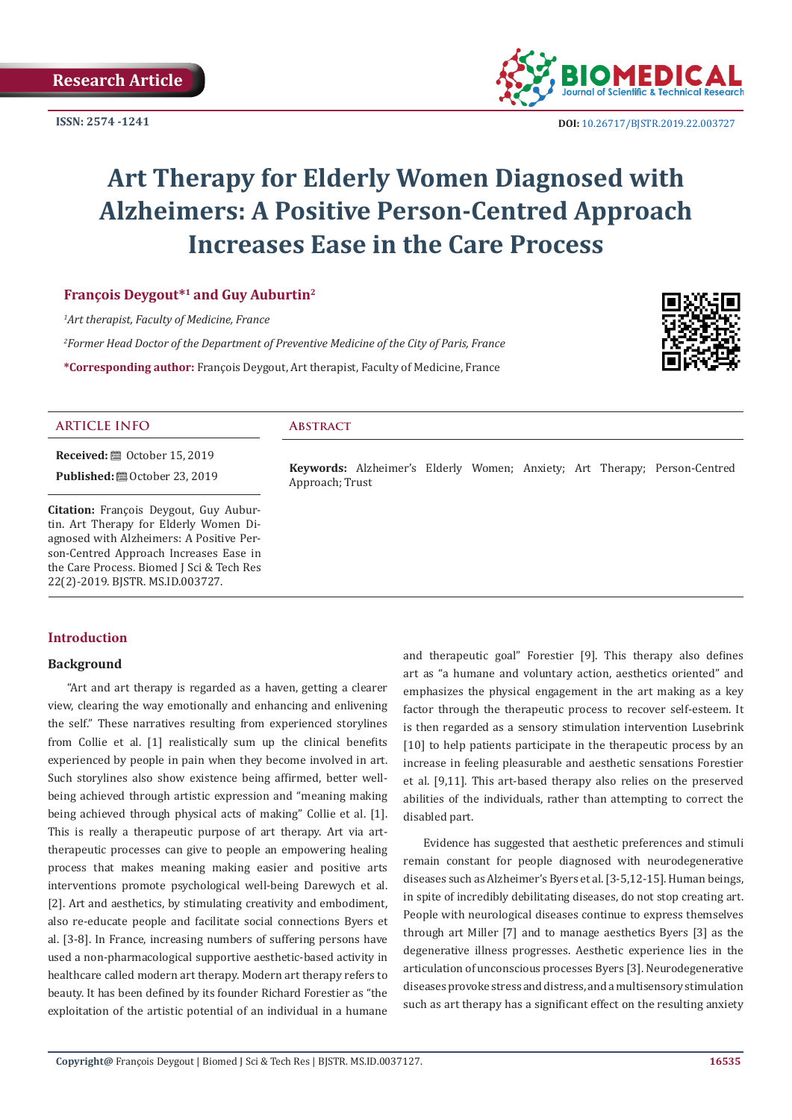

 **DOI:** [10.26717/BJSTR.2019.22.0037](http://dx.doi.org/10.26717/BJSTR.2019.22.003727)27

# **Art Therapy for Elderly Women Diagnosed with Alzheimers: A Positive Person-Centred Approach Increases Ease in the Care Process**

# **François Deygout\*1 and Guy Auburtin2**

*1 Art therapist, Faculty of Medicine, France*

*2 Former Head Doctor of the Department of Preventive Medicine of the City of Paris, France* **\*Corresponding author:** François Deygout, Art therapist, Faculty of Medicine, France



# **ARTICLE INFO Abstract**

**Keywords:** Alzheimer's Elderly Women; Anxiety; Art Therapy; Person-Centred Approach; Trust

**Citation:** François Deygout, Guy Auburtin. Art Therapy for Elderly Women Diagnosed with Alzheimers: A Positive Person-Centred Approach Increases Ease in the Care Process. Biomed J Sci & Tech Res 22(2)-2019. BJSTR. MS.ID.003727.

**Received:** ■ October 15, 2019 **Published:** © October 23, 2019

# **Introduction**

# **Background**

"Art and art therapy is regarded as a haven, getting a clearer view, clearing the way emotionally and enhancing and enlivening the self." These narratives resulting from experienced storylines from Collie et al. [1] realistically sum up the clinical benefits experienced by people in pain when they become involved in art. Such storylines also show existence being affirmed, better wellbeing achieved through artistic expression and "meaning making being achieved through physical acts of making" Collie et al. [1]. This is really a therapeutic purpose of art therapy. Art via arttherapeutic processes can give to people an empowering healing process that makes meaning making easier and positive arts interventions promote psychological well-being Darewych et al. [2]. Art and aesthetics, by stimulating creativity and embodiment, also re-educate people and facilitate social connections Byers et al. [3-8]. In France, increasing numbers of suffering persons have used a non-pharmacological supportive aesthetic-based activity in healthcare called modern art therapy. Modern art therapy refers to beauty. It has been defined by its founder Richard Forestier as "the exploitation of the artistic potential of an individual in a humane and therapeutic goal" Forestier [9]. This therapy also defines art as "a humane and voluntary action, aesthetics oriented" and emphasizes the physical engagement in the art making as a key factor through the therapeutic process to recover self-esteem. It is then regarded as a sensory stimulation intervention Lusebrink [10] to help patients participate in the therapeutic process by an increase in feeling pleasurable and aesthetic sensations Forestier et al. [9,11]. This art-based therapy also relies on the preserved abilities of the individuals, rather than attempting to correct the disabled part.

Evidence has suggested that aesthetic preferences and stimuli remain constant for people diagnosed with neurodegenerative diseases such as Alzheimer's Byers et al. [3-5,12-15]. Human beings, in spite of incredibly debilitating diseases, do not stop creating art. People with neurological diseases continue to express themselves through art Miller [7] and to manage aesthetics Byers [3] as the degenerative illness progresses. Aesthetic experience lies in the articulation of unconscious processes Byers [3]. Neurodegenerative diseases provoke stress and distress, and a multisensory stimulation such as art therapy has a significant effect on the resulting anxiety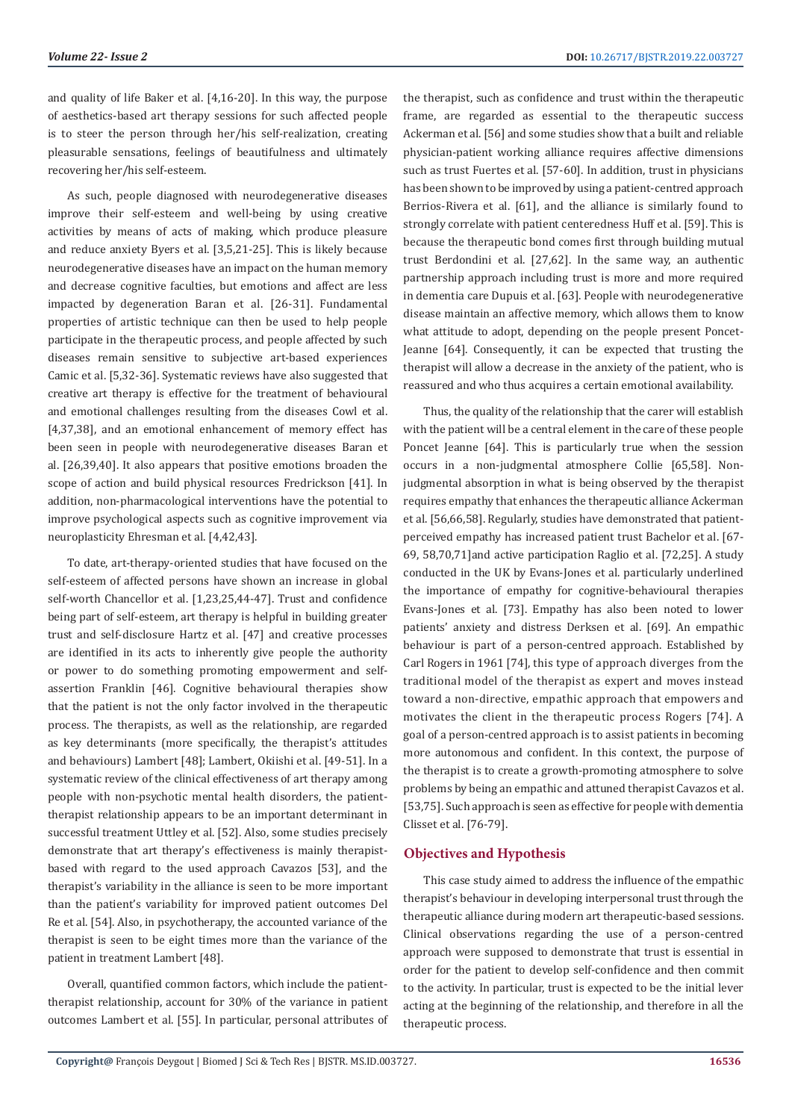and quality of life Baker et al. [4,16-20]. In this way, the purpose of aesthetics-based art therapy sessions for such affected people is to steer the person through her/his self-realization, creating pleasurable sensations, feelings of beautifulness and ultimately recovering her/his self-esteem.

As such, people diagnosed with neurodegenerative diseases improve their self-esteem and well-being by using creative activities by means of acts of making, which produce pleasure and reduce anxiety Byers et al. [3,5,21-25]. This is likely because neurodegenerative diseases have an impact on the human memory and decrease cognitive faculties, but emotions and affect are less impacted by degeneration Baran et al. [26-31]. Fundamental properties of artistic technique can then be used to help people participate in the therapeutic process, and people affected by such diseases remain sensitive to subjective art-based experiences Camic et al. [5,32-36]. Systematic reviews have also suggested that creative art therapy is effective for the treatment of behavioural and emotional challenges resulting from the diseases Cowl et al. [4,37,38], and an emotional enhancement of memory effect has been seen in people with neurodegenerative diseases Baran et al. [26,39,40]. It also appears that positive emotions broaden the scope of action and build physical resources Fredrickson [41]. In addition, non-pharmacological interventions have the potential to improve psychological aspects such as cognitive improvement via neuroplasticity Ehresman et al. [4,42,43].

To date, art-therapy-oriented studies that have focused on the self-esteem of affected persons have shown an increase in global self-worth Chancellor et al. [1,23,25,44-47]. Trust and confidence being part of self-esteem, art therapy is helpful in building greater trust and self-disclosure Hartz et al. [47] and creative processes are identified in its acts to inherently give people the authority or power to do something promoting empowerment and selfassertion Franklin [46]. Cognitive behavioural therapies show that the patient is not the only factor involved in the therapeutic process. The therapists, as well as the relationship, are regarded as key determinants (more specifically, the therapist's attitudes and behaviours) Lambert [48]; Lambert, Okiishi et al. [49-51]. In a systematic review of the clinical effectiveness of art therapy among people with non-psychotic mental health disorders, the patienttherapist relationship appears to be an important determinant in successful treatment Uttley et al. [52]. Also, some studies precisely demonstrate that art therapy's effectiveness is mainly therapistbased with regard to the used approach Cavazos [53], and the therapist's variability in the alliance is seen to be more important than the patient's variability for improved patient outcomes Del Re et al. [54]. Also, in psychotherapy, the accounted variance of the therapist is seen to be eight times more than the variance of the patient in treatment Lambert [48].

Overall, quantified common factors, which include the patienttherapist relationship, account for 30% of the variance in patient outcomes Lambert et al. [55]. In particular, personal attributes of the therapist, such as confidence and trust within the therapeutic frame, are regarded as essential to the therapeutic success Ackerman et al. [56] and some studies show that a built and reliable physician-patient working alliance requires affective dimensions such as trust Fuertes et al. [57-60]. In addition, trust in physicians has been shown to be improved by using a patient-centred approach Berrios-Rivera et al. [61], and the alliance is similarly found to strongly correlate with patient centeredness Huff et al. [59]. This is because the therapeutic bond comes first through building mutual trust Berdondini et al. [27,62]. In the same way, an authentic partnership approach including trust is more and more required in dementia care Dupuis et al. [63]. People with neurodegenerative disease maintain an affective memory, which allows them to know what attitude to adopt, depending on the people present Poncet-Jeanne [64]. Consequently, it can be expected that trusting the therapist will allow a decrease in the anxiety of the patient, who is reassured and who thus acquires a certain emotional availability.

Thus, the quality of the relationship that the carer will establish with the patient will be a central element in the care of these people Poncet Jeanne [64]. This is particularly true when the session occurs in a non-judgmental atmosphere Collie [65,58]. Nonjudgmental absorption in what is being observed by the therapist requires empathy that enhances the therapeutic alliance Ackerman et al. [56,66,58]. Regularly, studies have demonstrated that patientperceived empathy has increased patient trust Bachelor et al. [67- 69, 58,70,71]and active participation Raglio et al. [72,25]. A study conducted in the UK by Evans-Jones et al. particularly underlined the importance of empathy for cognitive-behavioural therapies Evans-Jones et al. [73]. Empathy has also been noted to lower patients' anxiety and distress Derksen et al. [69]. An empathic behaviour is part of a person-centred approach. Established by Carl Rogers in 1961 [74], this type of approach diverges from the traditional model of the therapist as expert and moves instead toward a non-directive, empathic approach that empowers and motivates the client in the therapeutic process Rogers [74]. A goal of a person-centred approach is to assist patients in becoming more autonomous and confident. In this context, the purpose of the therapist is to create a growth-promoting atmosphere to solve problems by being an empathic and attuned therapist Cavazos et al. [53,75]. Such approach is seen as effective for people with dementia Clisset et al. [76-79].

# **Objectives and Hypothesis**

This case study aimed to address the influence of the empathic therapist's behaviour in developing interpersonal trust through the therapeutic alliance during modern art therapeutic-based sessions. Clinical observations regarding the use of a person-centred approach were supposed to demonstrate that trust is essential in order for the patient to develop self-confidence and then commit to the activity. In particular, trust is expected to be the initial lever acting at the beginning of the relationship, and therefore in all the therapeutic process.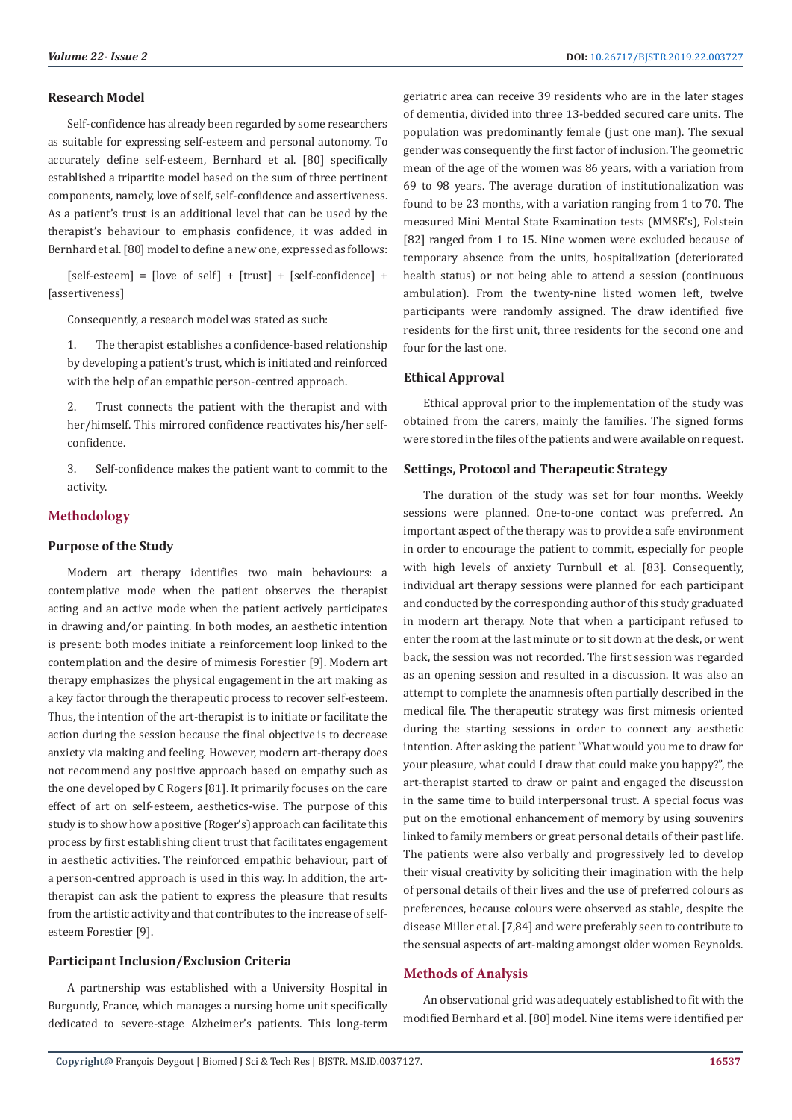# **Research Model**

Self-confidence has already been regarded by some researchers as suitable for expressing self-esteem and personal autonomy. To accurately define self-esteem, Bernhard et al. [80] specifically established a tripartite model based on the sum of three pertinent components, namely, love of self, self-confidence and assertiveness. As a patient's trust is an additional level that can be used by the therapist's behaviour to emphasis confidence, it was added in Bernhard et al. [80] model to define a new one, expressed as follows:

 $[self-esteem] = [love of self] + [trust] + [self-confidence] +$ [assertiveness]

Consequently, a research model was stated as such:

1. The therapist establishes a confidence-based relationship by developing a patient's trust, which is initiated and reinforced with the help of an empathic person-centred approach.

Trust connects the patient with the therapist and with her/himself. This mirrored confidence reactivates his/her selfconfidence.

3. Self-confidence makes the patient want to commit to the activity.

# **Methodology**

# **Purpose of the Study**

Modern art therapy identifies two main behaviours: a contemplative mode when the patient observes the therapist acting and an active mode when the patient actively participates in drawing and/or painting. In both modes, an aesthetic intention is present: both modes initiate a reinforcement loop linked to the contemplation and the desire of mimesis Forestier [9]. Modern art therapy emphasizes the physical engagement in the art making as a key factor through the therapeutic process to recover self-esteem. Thus, the intention of the art-therapist is to initiate or facilitate the action during the session because the final objective is to decrease anxiety via making and feeling. However, modern art-therapy does not recommend any positive approach based on empathy such as the one developed by C Rogers [81]. It primarily focuses on the care effect of art on self-esteem, aesthetics-wise. The purpose of this study is to show how a positive (Roger's) approach can facilitate this process by first establishing client trust that facilitates engagement in aesthetic activities. The reinforced empathic behaviour, part of a person-centred approach is used in this way. In addition, the arttherapist can ask the patient to express the pleasure that results from the artistic activity and that contributes to the increase of selfesteem Forestier [9].

# **Participant Inclusion/Exclusion Criteria**

A partnership was established with a University Hospital in Burgundy, France, which manages a nursing home unit specifically dedicated to severe-stage Alzheimer's patients. This long-term geriatric area can receive 39 residents who are in the later stages of dementia, divided into three 13-bedded secured care units. The population was predominantly female (just one man). The sexual gender was consequently the first factor of inclusion. The geometric mean of the age of the women was 86 years, with a variation from 69 to 98 years. The average duration of institutionalization was found to be 23 months, with a variation ranging from 1 to 70. The measured Mini Mental State Examination tests (MMSE's), Folstein [82] ranged from 1 to 15. Nine women were excluded because of temporary absence from the units, hospitalization (deteriorated health status) or not being able to attend a session (continuous ambulation). From the twenty-nine listed women left, twelve participants were randomly assigned. The draw identified five residents for the first unit, three residents for the second one and four for the last one.

#### **Ethical Approval**

Ethical approval prior to the implementation of the study was obtained from the carers, mainly the families. The signed forms were stored in the files of the patients and were available on request.

#### **Settings, Protocol and Therapeutic Strategy**

The duration of the study was set for four months. Weekly sessions were planned. One-to-one contact was preferred. An important aspect of the therapy was to provide a safe environment in order to encourage the patient to commit, especially for people with high levels of anxiety Turnbull et al. [83]. Consequently, individual art therapy sessions were planned for each participant and conducted by the corresponding author of this study graduated in modern art therapy. Note that when a participant refused to enter the room at the last minute or to sit down at the desk, or went back, the session was not recorded. The first session was regarded as an opening session and resulted in a discussion. It was also an attempt to complete the anamnesis often partially described in the medical file. The therapeutic strategy was first mimesis oriented during the starting sessions in order to connect any aesthetic intention. After asking the patient "What would you me to draw for your pleasure, what could I draw that could make you happy?", the art-therapist started to draw or paint and engaged the discussion in the same time to build interpersonal trust. A special focus was put on the emotional enhancement of memory by using souvenirs linked to family members or great personal details of their past life. The patients were also verbally and progressively led to develop their visual creativity by soliciting their imagination with the help of personal details of their lives and the use of preferred colours as preferences, because colours were observed as stable, despite the disease Miller et al. [7,84] and were preferably seen to contribute to the sensual aspects of art-making amongst older women Reynolds.

# **Methods of Analysis**

An observational grid was adequately established to fit with the modified Bernhard et al. [80] model. Nine items were identified per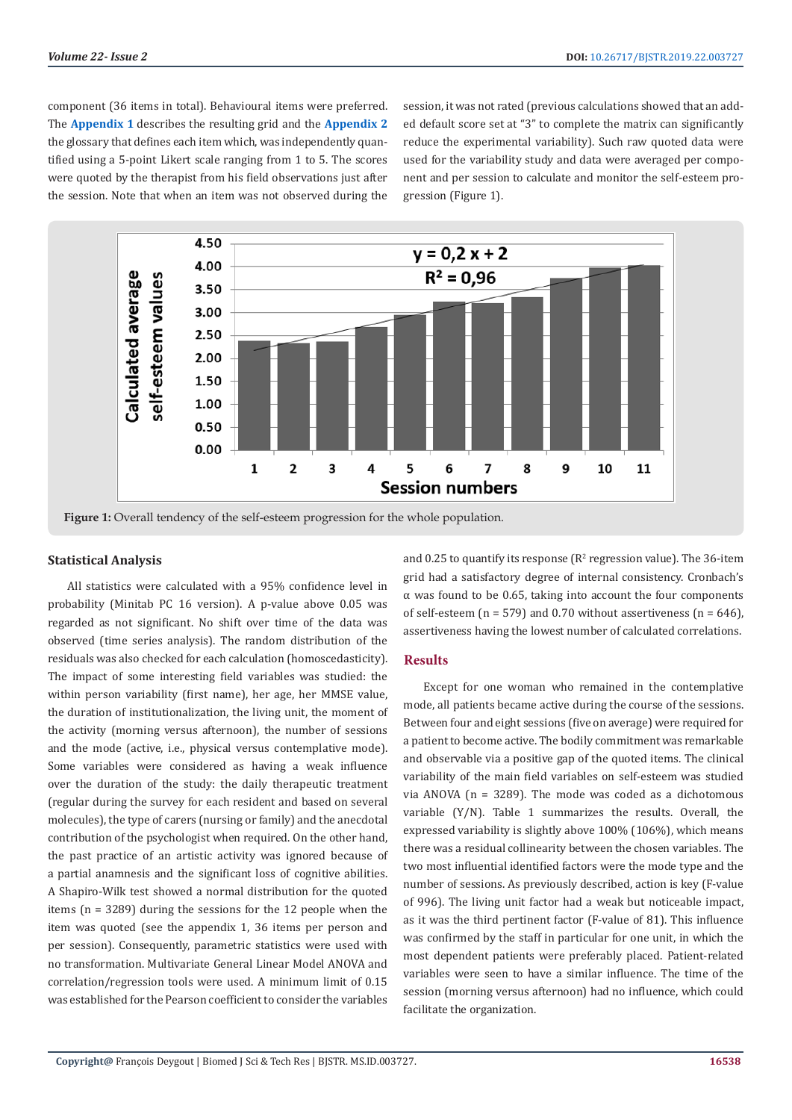component (36 items in total). Behavioural items were preferred. The **[Appendix 1](https://biomedres.us/pdfs/BJSTR.MS.ID.003727-Appendix-1.pdf	
)** describes the resulting grid and the **[Appendix 2](https://biomedres.us/pdfs/BJSTR.MS.ID.003727-Appendix-2.pdf	
)** the glossary that defines each item which, was independently quantified using a 5-point Likert scale ranging from 1 to 5. The scores were quoted by the therapist from his field observations just after the session. Note that when an item was not observed during the

session, it was not rated (previous calculations showed that an added default score set at "3" to complete the matrix can significantly reduce the experimental variability). Such raw quoted data were used for the variability study and data were averaged per component and per session to calculate and monitor the self-esteem progression (Figure 1).



**Figure 1:** Overall tendency of the self-esteem progression for the whole population.

#### **Statistical Analysis**

All statistics were calculated with a 95% confidence level in probability (Minitab PC 16 version). A p-value above 0.05 was regarded as not significant. No shift over time of the data was observed (time series analysis). The random distribution of the residuals was also checked for each calculation (homoscedasticity). The impact of some interesting field variables was studied: the within person variability (first name), her age, her MMSE value, the duration of institutionalization, the living unit, the moment of the activity (morning versus afternoon), the number of sessions and the mode (active, i.e., physical versus contemplative mode). Some variables were considered as having a weak influence over the duration of the study: the daily therapeutic treatment (regular during the survey for each resident and based on several molecules), the type of carers (nursing or family) and the anecdotal contribution of the psychologist when required. On the other hand, the past practice of an artistic activity was ignored because of a partial anamnesis and the significant loss of cognitive abilities. A Shapiro-Wilk test showed a normal distribution for the quoted items (n = 3289) during the sessions for the 12 people when the item was quoted (see the appendix 1, 36 items per person and per session). Consequently, parametric statistics were used with no transformation. Multivariate General Linear Model ANOVA and correlation/regression tools were used. A minimum limit of 0.15 was established for the Pearson coefficient to consider the variables

and  $0.25$  to quantify its response ( $\mathbb{R}^2$  regression value). The 36-item grid had a satisfactory degree of internal consistency. Cronbach's α was found to be 0.65, taking into account the four components of self-esteem ( $n = 579$ ) and 0.70 without assertiveness ( $n = 646$ ). assertiveness having the lowest number of calculated correlations.

# **Results**

Except for one woman who remained in the contemplative mode, all patients became active during the course of the sessions. Between four and eight sessions (five on average) were required for a patient to become active. The bodily commitment was remarkable and observable via a positive gap of the quoted items. The clinical variability of the main field variables on self-esteem was studied via ANOVA (n = 3289). The mode was coded as a dichotomous variable (Y/N). Table 1 summarizes the results. Overall, the expressed variability is slightly above 100% (106%), which means there was a residual collinearity between the chosen variables. The two most influential identified factors were the mode type and the number of sessions. As previously described, action is key (F-value of 996). The living unit factor had a weak but noticeable impact, as it was the third pertinent factor (F-value of 81). This influence was confirmed by the staff in particular for one unit, in which the most dependent patients were preferably placed. Patient-related variables were seen to have a similar influence. The time of the session (morning versus afternoon) had no influence, which could facilitate the organization.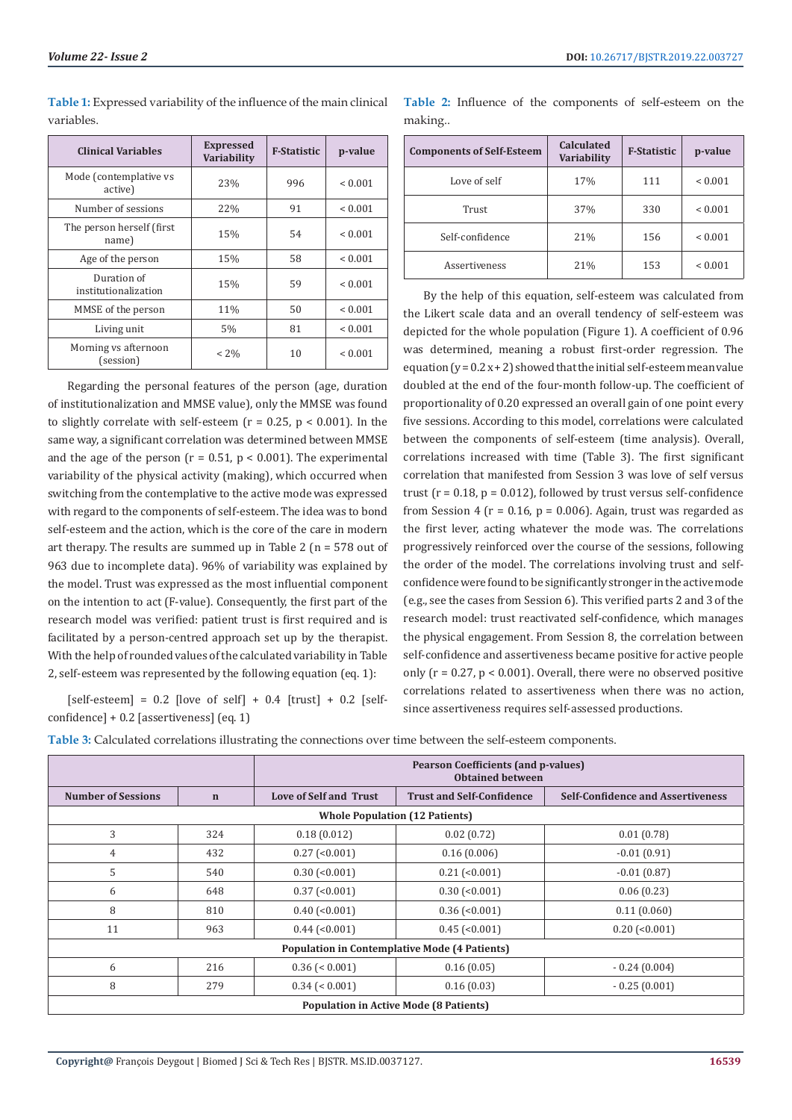| <b>Table 1:</b> Expressed variability of the influence of the main clinical |  |
|-----------------------------------------------------------------------------|--|
| variables.                                                                  |  |

| <b>Clinical Variables</b>           | <b>Expressed</b><br><b>Variability</b> | <b>F-Statistic</b> | p-value      |
|-------------------------------------|----------------------------------------|--------------------|--------------|
| Mode (contemplative vs<br>active)   | 23%                                    | 996                | < 0.001      |
| Number of sessions                  | 22%                                    | 91                 | ${}_{0.001}$ |
| The person herself (first)<br>name) | 15%                                    | 54                 | ${}_{0.001}$ |
| Age of the person                   | 15%                                    | 58                 | ${}< 0.001$  |
| Duration of<br>institutionalization | 15%                                    | 59                 | ${}_{0.001}$ |
| MMSE of the person                  | 11%                                    | 50                 | < 0.001      |
| Living unit                         | 5%                                     | 81                 | < 0.001      |
| Morning vs afternoon<br>(session)   | $< 2\%$                                | 10                 | ${}_{0.001}$ |

Regarding the personal features of the person (age, duration of institutionalization and MMSE value), only the MMSE was found to slightly correlate with self-esteem ( $r = 0.25$ ,  $p < 0.001$ ). In the same way, a significant correlation was determined between MMSE and the age of the person ( $r = 0.51$ ,  $p < 0.001$ ). The experimental variability of the physical activity (making), which occurred when switching from the contemplative to the active mode was expressed with regard to the components of self-esteem. The idea was to bond self-esteem and the action, which is the core of the care in modern art therapy. The results are summed up in Table 2 ( $n = 578$  out of 963 due to incomplete data). 96% of variability was explained by the model. Trust was expressed as the most influential component on the intention to act (F-value). Consequently, the first part of the research model was verified: patient trust is first required and is facilitated by a person-centred approach set up by the therapist. With the help of rounded values of the calculated variability in Table 2, self-esteem was represented by the following equation (eq. 1):

[self-esteem] =  $0.2$  [love of self] +  $0.4$  [trust] +  $0.2$  [selfconfidence] + 0.2 [assertiveness] (eq. 1)

**Table 2:** Influence of the components of self-esteem on the making..

| <b>Components of Self-Esteem</b> | Calculated<br><b>Variability</b> | <b>F-Statistic</b> | p-value     |
|----------------------------------|----------------------------------|--------------------|-------------|
| Love of self                     | 17%                              | 111                | ${}< 0.001$ |
| Trust                            | 37%                              | 330                | ${}< 0.001$ |
| Self-confidence                  | 21%                              | 156                | ${}< 0.001$ |
| Assertiveness                    | 21%                              | 153                | ${}< 0.001$ |

By the help of this equation, self-esteem was calculated from the Likert scale data and an overall tendency of self-esteem was depicted for the whole population (Figure 1). A coefficient of 0.96 was determined, meaning a robust first-order regression. The equation  $(y=0.2x+2)$  showed that the initial self-esteem mean value doubled at the end of the four-month follow-up. The coefficient of proportionality of 0.20 expressed an overall gain of one point every five sessions. According to this model, correlations were calculated between the components of self-esteem (time analysis). Overall, correlations increased with time (Table 3). The first significant correlation that manifested from Session 3 was love of self versus trust  $(r = 0.18, p = 0.012)$ , followed by trust versus self-confidence from Session 4 ( $r = 0.16$ ,  $p = 0.006$ ). Again, trust was regarded as the first lever, acting whatever the mode was. The correlations progressively reinforced over the course of the sessions, following the order of the model. The correlations involving trust and selfconfidence were found to be significantly stronger in the active mode (e.g., see the cases from Session 6). This verified parts 2 and 3 of the research model: trust reactivated self-confidence, which manages the physical engagement. From Session 8, the correlation between self-confidence and assertiveness became positive for active people only  $(r = 0.27, p < 0.001)$ . Overall, there were no observed positive correlations related to assertiveness when there was no action, since assertiveness requires self-assessed productions.

**Table 3:** Calculated correlations illustrating the connections over time between the self-esteem components.

|                                                      |             | <b>Pearson Coefficients (and p-values)</b><br><b>Obtained between</b> |                                       |                                          |  |  |
|------------------------------------------------------|-------------|-----------------------------------------------------------------------|---------------------------------------|------------------------------------------|--|--|
| <b>Number of Sessions</b>                            | $\mathbf n$ | <b>Love of Self and Trust</b>                                         | <b>Trust and Self-Confidence</b>      | <b>Self-Confidence and Assertiveness</b> |  |  |
|                                                      |             |                                                                       | <b>Whole Population (12 Patients)</b> |                                          |  |  |
| 3                                                    | 324         | 0.18(0.012)                                                           | 0.02(0.72)                            | 0.01(0.78)                               |  |  |
| 4                                                    | 432         | $0.27$ (<0.001)                                                       | 0.16(0.006)                           | $-0.01(0.91)$                            |  |  |
| 5                                                    | 540         | $0.30$ (< $0.001$ )                                                   | $0.21$ (<0.001)                       | $-0.01(0.87)$                            |  |  |
| 6                                                    | 648         | $0.37$ (< $0.001$ )                                                   | $0.30$ (< $0.001$ )                   | 0.06(0.23)                               |  |  |
| 8                                                    | 810         | $0.40$ (< $0.001$ )                                                   | $0.36$ ( $< 0.001$ )                  | 0.11(0.060)                              |  |  |
| 11                                                   | 963         | $0.44$ (< $0.001$ )                                                   | $0.45$ (< $0.001$ )                   | $0.20$ (< $0.001$ )                      |  |  |
| <b>Population in Contemplative Mode (4 Patients)</b> |             |                                                                       |                                       |                                          |  |  |
| 6                                                    | 216         | $0.36 \le 0.001$                                                      | 0.16(0.05)                            | $-0.24(0.004)$                           |  |  |
| 8                                                    | 279         | $0.34$ (< 0.001)                                                      | 0.16(0.03)                            | $-0.25(0.001)$                           |  |  |
| <b>Population in Active Mode (8 Patients)</b>        |             |                                                                       |                                       |                                          |  |  |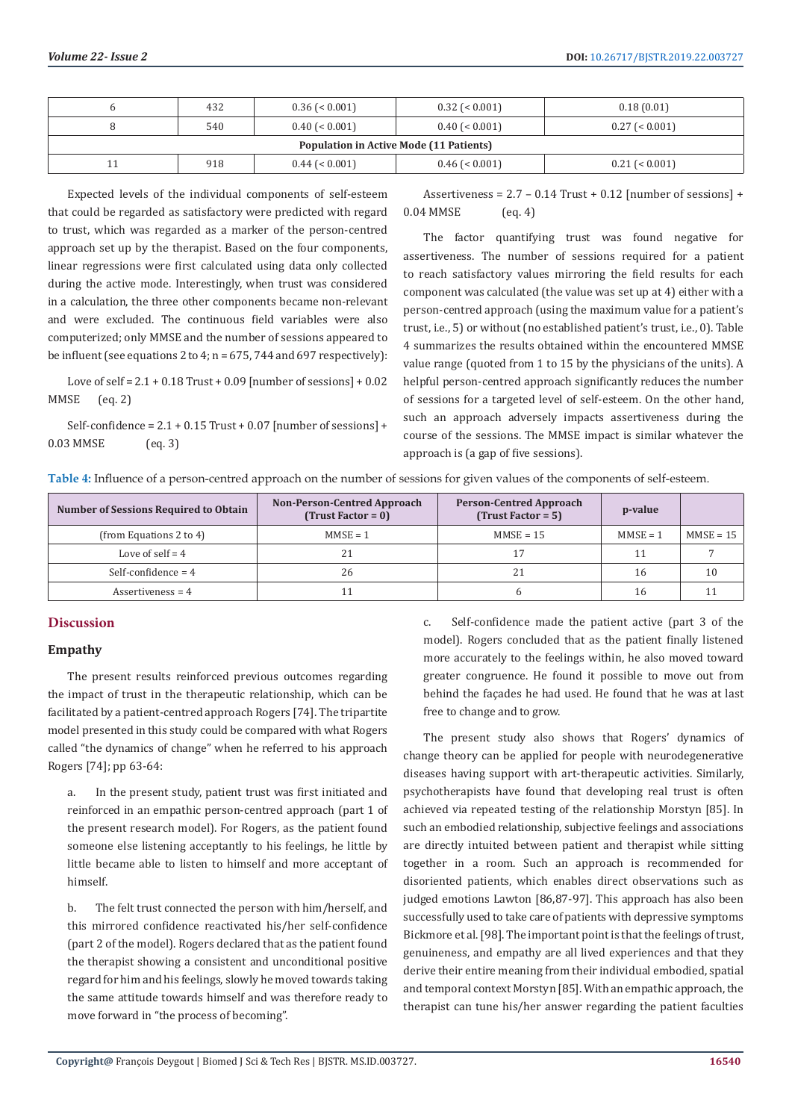|                                                | 432 | $0.36 \le 0.001$ | $0.32$ ( $\leq 0.001$ ) | 0.18(0.01)       |  |
|------------------------------------------------|-----|------------------|-------------------------|------------------|--|
|                                                | 540 | $0.40$ (< 0.001) | $0.40$ (< 0.001)        | $0.27$ (< 0.001) |  |
| <b>Population in Active Mode (11 Patients)</b> |     |                  |                         |                  |  |
|                                                | 918 | $0.44$ (< 0.001) | $0.46$ ( $\leq 0.001$ ) | $0.21$ (< 0.001) |  |

Expected levels of the individual components of self-esteem that could be regarded as satisfactory were predicted with regard to trust, which was regarded as a marker of the person-centred approach set up by the therapist. Based on the four components, linear regressions were first calculated using data only collected during the active mode. Interestingly, when trust was considered in a calculation, the three other components became non-relevant and were excluded. The continuous field variables were also computerized; only MMSE and the number of sessions appeared to be influent (see equations 2 to 4; n = 675, 744 and 697 respectively):

Love of self =  $2.1 + 0.18$  Trust + 0.09 [number of sessions] + 0.02 MMSE (eq. 2)

Self-confidence =  $2.1 + 0.15$  Trust + 0.07 [number of sessions] + 0.03 MMSE (eq. 3)

Assertiveness =  $2.7 - 0.14$  Trust + 0.12 [number of sessions] + 0.04 MMSE (eq. 4)

The factor quantifying trust was found negative for assertiveness. The number of sessions required for a patient to reach satisfactory values mirroring the field results for each component was calculated (the value was set up at 4) either with a person-centred approach (using the maximum value for a patient's trust, i.e., 5) or without (no established patient's trust, i.e., 0). Table 4 summarizes the results obtained within the encountered MMSE value range (quoted from 1 to 15 by the physicians of the units). A helpful person-centred approach significantly reduces the number of sessions for a targeted level of self-esteem. On the other hand, such an approach adversely impacts assertiveness during the course of the sessions. The MMSE impact is similar whatever the approach is (a gap of five sessions).

| Table 4: Influence of a person-centred approach on the number of sessions for given values of the components of self-esteem. |  |  |  |  |
|------------------------------------------------------------------------------------------------------------------------------|--|--|--|--|
|                                                                                                                              |  |  |  |  |
|                                                                                                                              |  |  |  |  |

| <b>Number of Sessions Required to Obtain</b> | <b>Non-Person-Centred Approach</b><br>$(Trust Factor = 0)$ | <b>Person-Centred Approach</b><br>$(Trust Factor = 5)$ | p-value    |             |
|----------------------------------------------|------------------------------------------------------------|--------------------------------------------------------|------------|-------------|
| (from Equations 2 to 4)                      | $MMSE = 1$                                                 | $MMSE = 15$                                            | $MMSE = 1$ | $MMSE = 15$ |
| Love of self $=$ 4                           | 21                                                         |                                                        |            |             |
| Self-confidence = $4$                        | 26                                                         | 21                                                     | 16         |             |
| Assertiveness = $4$                          |                                                            |                                                        | 16         |             |

# **Discussion**

#### **Empathy**

The present results reinforced previous outcomes regarding the impact of trust in the therapeutic relationship, which can be facilitated by a patient-centred approach Rogers [74]. The tripartite model presented in this study could be compared with what Rogers called "the dynamics of change" when he referred to his approach Rogers [74]; pp 63-64:

a. In the present study, patient trust was first initiated and reinforced in an empathic person-centred approach (part 1 of the present research model). For Rogers, as the patient found someone else listening acceptantly to his feelings, he little by little became able to listen to himself and more acceptant of himself.

b. The felt trust connected the person with him/herself, and this mirrored confidence reactivated his/her self-confidence (part 2 of the model). Rogers declared that as the patient found the therapist showing a consistent and unconditional positive regard for him and his feelings, slowly he moved towards taking the same attitude towards himself and was therefore ready to move forward in "the process of becoming".

c. Self-confidence made the patient active (part 3 of the model). Rogers concluded that as the patient finally listened more accurately to the feelings within, he also moved toward greater congruence. He found it possible to move out from behind the façades he had used. He found that he was at last free to change and to grow.

The present study also shows that Rogers' dynamics of change theory can be applied for people with neurodegenerative diseases having support with art-therapeutic activities. Similarly, psychotherapists have found that developing real trust is often achieved via repeated testing of the relationship Morstyn [85]. In such an embodied relationship, subjective feelings and associations are directly intuited between patient and therapist while sitting together in a room. Such an approach is recommended for disoriented patients, which enables direct observations such as judged emotions Lawton [86,87-97]. This approach has also been successfully used to take care of patients with depressive symptoms Bickmore et al. [98]. The important point is that the feelings of trust, genuineness, and empathy are all lived experiences and that they derive their entire meaning from their individual embodied, spatial and temporal context Morstyn [85]. With an empathic approach, the therapist can tune his/her answer regarding the patient faculties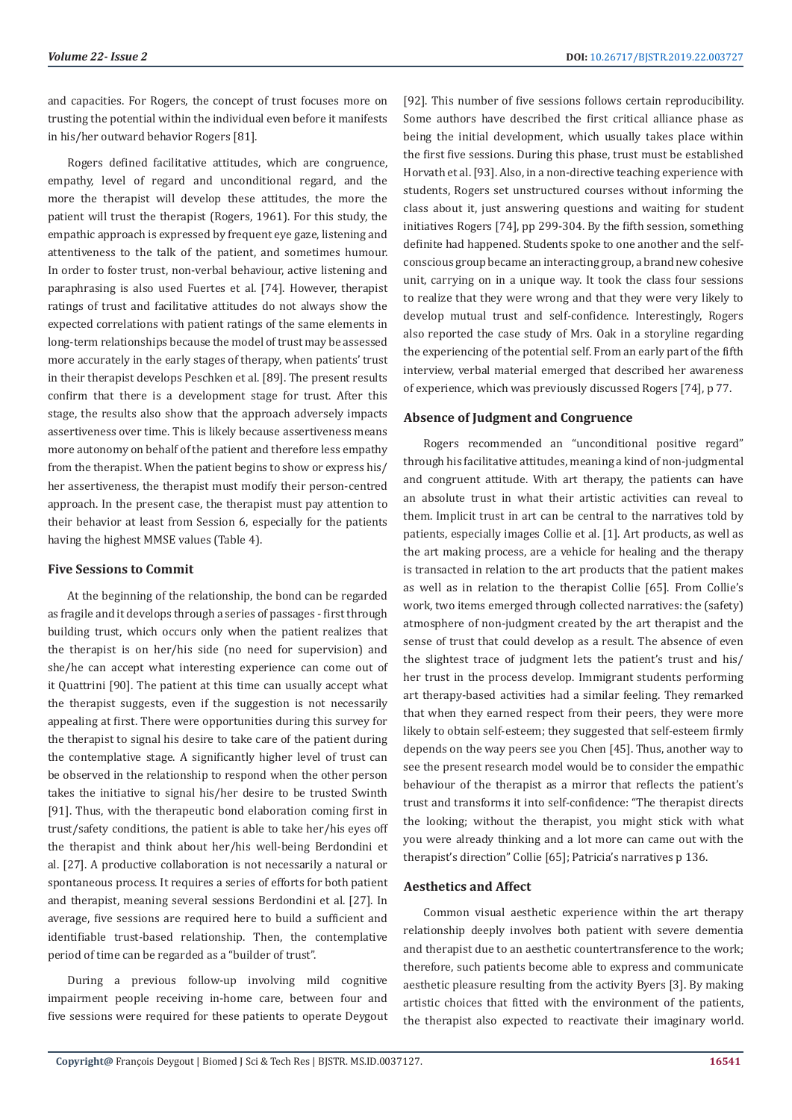and capacities. For Rogers, the concept of trust focuses more on trusting the potential within the individual even before it manifests in his/her outward behavior Rogers [81].

Rogers defined facilitative attitudes, which are congruence, empathy, level of regard and unconditional regard, and the more the therapist will develop these attitudes, the more the patient will trust the therapist (Rogers, 1961). For this study, the empathic approach is expressed by frequent eye gaze, listening and attentiveness to the talk of the patient, and sometimes humour. In order to foster trust, non-verbal behaviour, active listening and paraphrasing is also used Fuertes et al. [74]. However, therapist ratings of trust and facilitative attitudes do not always show the expected correlations with patient ratings of the same elements in long-term relationships because the model of trust may be assessed more accurately in the early stages of therapy, when patients' trust in their therapist develops Peschken et al. [89]. The present results confirm that there is a development stage for trust. After this stage, the results also show that the approach adversely impacts assertiveness over time. This is likely because assertiveness means more autonomy on behalf of the patient and therefore less empathy from the therapist. When the patient begins to show or express his/ her assertiveness, the therapist must modify their person-centred approach. In the present case, the therapist must pay attention to their behavior at least from Session 6, especially for the patients having the highest MMSE values (Table 4).

#### **Five Sessions to Commit**

At the beginning of the relationship, the bond can be regarded as fragile and it develops through a series of passages - first through building trust, which occurs only when the patient realizes that the therapist is on her/his side (no need for supervision) and she/he can accept what interesting experience can come out of it Quattrini [90]. The patient at this time can usually accept what the therapist suggests, even if the suggestion is not necessarily appealing at first. There were opportunities during this survey for the therapist to signal his desire to take care of the patient during the contemplative stage. A significantly higher level of trust can be observed in the relationship to respond when the other person takes the initiative to signal his/her desire to be trusted Swinth [91]. Thus, with the therapeutic bond elaboration coming first in trust/safety conditions, the patient is able to take her/his eyes off the therapist and think about her/his well-being Berdondini et al. [27]. A productive collaboration is not necessarily a natural or spontaneous process. It requires a series of efforts for both patient and therapist, meaning several sessions Berdondini et al. [27]. In average, five sessions are required here to build a sufficient and identifiable trust-based relationship. Then, the contemplative period of time can be regarded as a "builder of trust".

During a previous follow-up involving mild cognitive impairment people receiving in-home care, between four and five sessions were required for these patients to operate Deygout [92]. This number of five sessions follows certain reproducibility. Some authors have described the first critical alliance phase as being the initial development, which usually takes place within the first five sessions. During this phase, trust must be established Horvath et al. [93]. Also, in a non-directive teaching experience with students, Rogers set unstructured courses without informing the class about it, just answering questions and waiting for student initiatives Rogers [74], pp 299-304. By the fifth session, something definite had happened. Students spoke to one another and the selfconscious group became an interacting group, a brand new cohesive unit, carrying on in a unique way. It took the class four sessions to realize that they were wrong and that they were very likely to develop mutual trust and self-confidence. Interestingly, Rogers also reported the case study of Mrs. Oak in a storyline regarding the experiencing of the potential self. From an early part of the fifth interview, verbal material emerged that described her awareness of experience, which was previously discussed Rogers [74], p 77.

#### **Absence of Judgment and Congruence**

Rogers recommended an "unconditional positive regard" through his facilitative attitudes, meaning a kind of non-judgmental and congruent attitude. With art therapy, the patients can have an absolute trust in what their artistic activities can reveal to them. Implicit trust in art can be central to the narratives told by patients, especially images Collie et al. [1]. Art products, as well as the art making process, are a vehicle for healing and the therapy is transacted in relation to the art products that the patient makes as well as in relation to the therapist Collie [65]. From Collie's work, two items emerged through collected narratives: the (safety) atmosphere of non-judgment created by the art therapist and the sense of trust that could develop as a result. The absence of even the slightest trace of judgment lets the patient's trust and his/ her trust in the process develop. Immigrant students performing art therapy-based activities had a similar feeling. They remarked that when they earned respect from their peers, they were more likely to obtain self-esteem; they suggested that self-esteem firmly depends on the way peers see you Chen [45]. Thus, another way to see the present research model would be to consider the empathic behaviour of the therapist as a mirror that reflects the patient's trust and transforms it into self-confidence: "The therapist directs the looking; without the therapist, you might stick with what you were already thinking and a lot more can came out with the therapist's direction" Collie [65]; Patricia's narratives p 136.

#### **Aesthetics and Affect**

Common visual aesthetic experience within the art therapy relationship deeply involves both patient with severe dementia and therapist due to an aesthetic countertransference to the work; therefore, such patients become able to express and communicate aesthetic pleasure resulting from the activity Byers [3]. By making artistic choices that fitted with the environment of the patients, the therapist also expected to reactivate their imaginary world.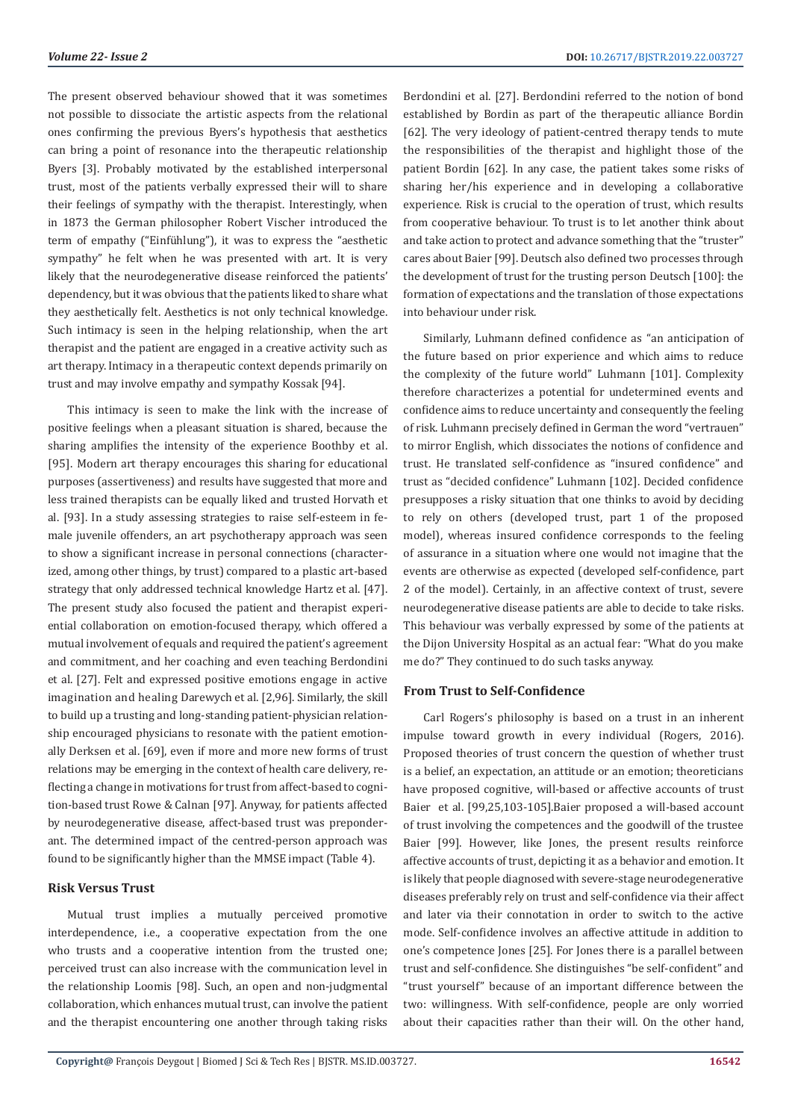The present observed behaviour showed that it was sometimes not possible to dissociate the artistic aspects from the relational ones confirming the previous Byers's hypothesis that aesthetics can bring a point of resonance into the therapeutic relationship Byers [3]. Probably motivated by the established interpersonal trust, most of the patients verbally expressed their will to share their feelings of sympathy with the therapist. Interestingly, when in 1873 the German philosopher Robert Vischer introduced the term of empathy ("Einfühlung"), it was to express the "aesthetic sympathy" he felt when he was presented with art. It is very likely that the neurodegenerative disease reinforced the patients' dependency, but it was obvious that the patients liked to share what they aesthetically felt. Aesthetics is not only technical knowledge. Such intimacy is seen in the helping relationship, when the art therapist and the patient are engaged in a creative activity such as art therapy. Intimacy in a therapeutic context depends primarily on trust and may involve empathy and sympathy Kossak [94].

This intimacy is seen to make the link with the increase of positive feelings when a pleasant situation is shared, because the sharing amplifies the intensity of the experience Boothby et al. [95]. Modern art therapy encourages this sharing for educational purposes (assertiveness) and results have suggested that more and less trained therapists can be equally liked and trusted Horvath et al. [93]. In a study assessing strategies to raise self-esteem in female juvenile offenders, an art psychotherapy approach was seen to show a significant increase in personal connections (characterized, among other things, by trust) compared to a plastic art-based strategy that only addressed technical knowledge Hartz et al. [47]. The present study also focused the patient and therapist experiential collaboration on emotion-focused therapy, which offered a mutual involvement of equals and required the patient's agreement and commitment, and her coaching and even teaching Berdondini et al. [27]. Felt and expressed positive emotions engage in active imagination and healing Darewych et al. [2,96]. Similarly, the skill to build up a trusting and long-standing patient-physician relationship encouraged physicians to resonate with the patient emotionally Derksen et al. [69], even if more and more new forms of trust relations may be emerging in the context of health care delivery, reflecting a change in motivations for trust from affect-based to cognition-based trust Rowe & Calnan [97]. Anyway, for patients affected by neurodegenerative disease, affect-based trust was preponderant. The determined impact of the centred-person approach was found to be significantly higher than the MMSE impact (Table 4).

# **Risk Versus Trust**

Mutual trust implies a mutually perceived promotive interdependence, i.e., a cooperative expectation from the one who trusts and a cooperative intention from the trusted one; perceived trust can also increase with the communication level in the relationship Loomis [98]. Such, an open and non-judgmental collaboration, which enhances mutual trust, can involve the patient and the therapist encountering one another through taking risks Berdondini et al. [27]. Berdondini referred to the notion of bond established by Bordin as part of the therapeutic alliance Bordin [62]. The very ideology of patient-centred therapy tends to mute the responsibilities of the therapist and highlight those of the patient Bordin [62]. In any case, the patient takes some risks of sharing her/his experience and in developing a collaborative experience. Risk is crucial to the operation of trust, which results from cooperative behaviour. To trust is to let another think about and take action to protect and advance something that the "truster" cares about Baier [99]. Deutsch also defined two processes through the development of trust for the trusting person Deutsch [100]: the formation of expectations and the translation of those expectations into behaviour under risk.

Similarly, Luhmann defined confidence as "an anticipation of the future based on prior experience and which aims to reduce the complexity of the future world" Luhmann [101]. Complexity therefore characterizes a potential for undetermined events and confidence aims to reduce uncertainty and consequently the feeling of risk. Luhmann precisely defined in German the word "vertrauen" to mirror English, which dissociates the notions of confidence and trust. He translated self-confidence as "insured confidence" and trust as "decided confidence" Luhmann [102]. Decided confidence presupposes a risky situation that one thinks to avoid by deciding to rely on others (developed trust, part 1 of the proposed model), whereas insured confidence corresponds to the feeling of assurance in a situation where one would not imagine that the events are otherwise as expected (developed self-confidence, part 2 of the model). Certainly, in an affective context of trust, severe neurodegenerative disease patients are able to decide to take risks. This behaviour was verbally expressed by some of the patients at the Dijon University Hospital as an actual fear: "What do you make me do?" They continued to do such tasks anyway.

# **From Trust to Self-Confidence**

Carl Rogers's philosophy is based on a trust in an inherent impulse toward growth in every individual (Rogers, 2016). Proposed theories of trust concern the question of whether trust is a belief, an expectation, an attitude or an emotion; theoreticians have proposed cognitive, will-based or affective accounts of trust Baier et al. [99,25,103-105].Baier proposed a will-based account of trust involving the competences and the goodwill of the trustee Baier [99]. However, like Jones, the present results reinforce affective accounts of trust, depicting it as a behavior and emotion. It is likely that people diagnosed with severe-stage neurodegenerative diseases preferably rely on trust and self-confidence via their affect and later via their connotation in order to switch to the active mode. Self-confidence involves an affective attitude in addition to one's competence Jones [25]. For Jones there is a parallel between trust and self-confidence. She distinguishes "be self-confident" and "trust yourself" because of an important difference between the two: willingness. With self-confidence, people are only worried about their capacities rather than their will. On the other hand,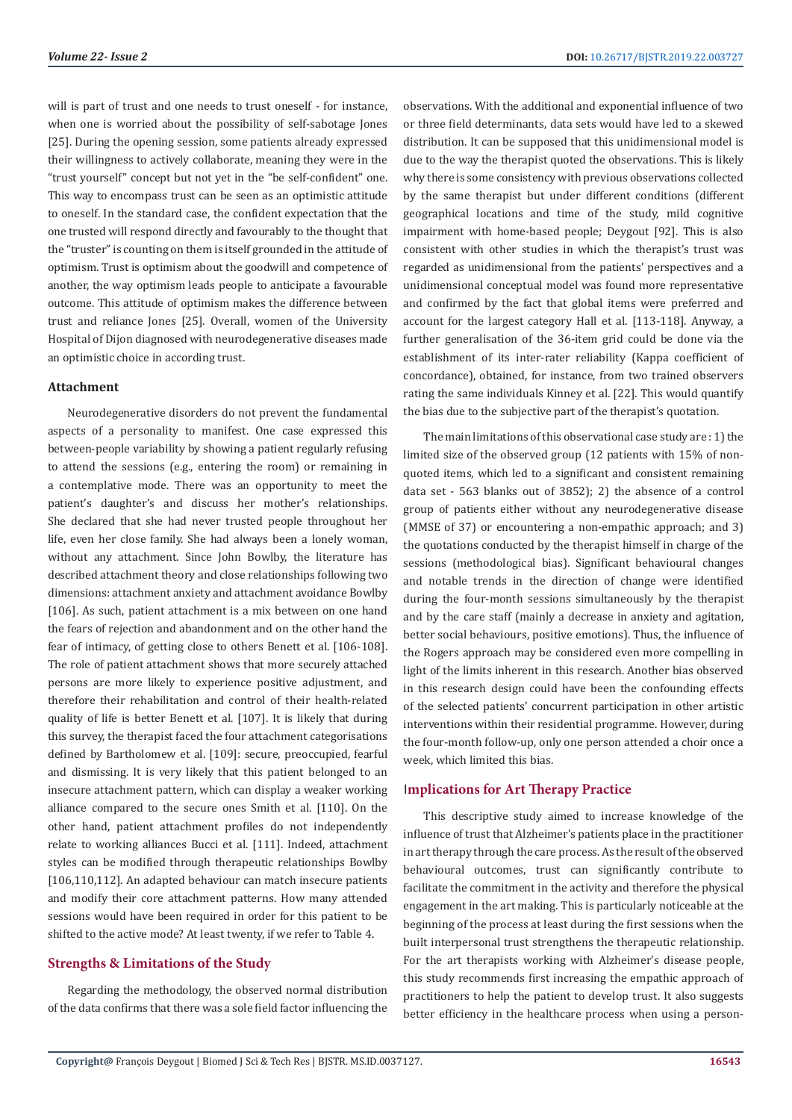will is part of trust and one needs to trust oneself - for instance, when one is worried about the possibility of self-sabotage Jones [25]. During the opening session, some patients already expressed their willingness to actively collaborate, meaning they were in the "trust yourself" concept but not yet in the "be self-confident" one. This way to encompass trust can be seen as an optimistic attitude to oneself. In the standard case, the confident expectation that the one trusted will respond directly and favourably to the thought that the "truster" is counting on them is itself grounded in the attitude of optimism. Trust is optimism about the goodwill and competence of another, the way optimism leads people to anticipate a favourable outcome. This attitude of optimism makes the difference between trust and reliance Jones [25]. Overall, women of the University Hospital of Dijon diagnosed with neurodegenerative diseases made an optimistic choice in according trust.

#### **Attachment**

Neurodegenerative disorders do not prevent the fundamental aspects of a personality to manifest. One case expressed this between-people variability by showing a patient regularly refusing to attend the sessions (e.g., entering the room) or remaining in a contemplative mode. There was an opportunity to meet the patient's daughter's and discuss her mother's relationships. She declared that she had never trusted people throughout her life, even her close family. She had always been a lonely woman, without any attachment. Since John Bowlby, the literature has described attachment theory and close relationships following two dimensions: attachment anxiety and attachment avoidance Bowlby [106]. As such, patient attachment is a mix between on one hand the fears of rejection and abandonment and on the other hand the fear of intimacy, of getting close to others Benett et al. [106-108]. The role of patient attachment shows that more securely attached persons are more likely to experience positive adjustment, and therefore their rehabilitation and control of their health-related quality of life is better Benett et al. [107]. It is likely that during this survey, the therapist faced the four attachment categorisations defined by Bartholomew et al. [109]: secure, preoccupied, fearful and dismissing. It is very likely that this patient belonged to an insecure attachment pattern, which can display a weaker working alliance compared to the secure ones Smith et al. [110]. On the other hand, patient attachment profiles do not independently relate to working alliances Bucci et al. [111]. Indeed, attachment styles can be modified through therapeutic relationships Bowlby [106,110,112]. An adapted behaviour can match insecure patients and modify their core attachment patterns. How many attended sessions would have been required in order for this patient to be shifted to the active mode? At least twenty, if we refer to Table 4.

# **Strengths & Limitations of the Study**

Regarding the methodology, the observed normal distribution of the data confirms that there was a sole field factor influencing the observations. With the additional and exponential influence of two or three field determinants, data sets would have led to a skewed distribution. It can be supposed that this unidimensional model is due to the way the therapist quoted the observations. This is likely why there is some consistency with previous observations collected by the same therapist but under different conditions (different geographical locations and time of the study, mild cognitive impairment with home-based people; Deygout [92]. This is also consistent with other studies in which the therapist's trust was regarded as unidimensional from the patients' perspectives and a unidimensional conceptual model was found more representative and confirmed by the fact that global items were preferred and account for the largest category Hall et al. [113-118]. Anyway, a further generalisation of the 36-item grid could be done via the establishment of its inter-rater reliability (Kappa coefficient of concordance), obtained, for instance, from two trained observers rating the same individuals Kinney et al. [22]. This would quantify the bias due to the subjective part of the therapist's quotation.

The main limitations of this observational case study are : 1) the limited size of the observed group (12 patients with 15% of nonquoted items, which led to a significant and consistent remaining data set - 563 blanks out of 3852); 2) the absence of a control group of patients either without any neurodegenerative disease (MMSE of 37) or encountering a non-empathic approach; and 3) the quotations conducted by the therapist himself in charge of the sessions (methodological bias). Significant behavioural changes and notable trends in the direction of change were identified during the four-month sessions simultaneously by the therapist and by the care staff (mainly a decrease in anxiety and agitation, better social behaviours, positive emotions). Thus, the influence of the Rogers approach may be considered even more compelling in light of the limits inherent in this research. Another bias observed in this research design could have been the confounding effects of the selected patients' concurrent participation in other artistic interventions within their residential programme. However, during the four-month follow-up, only one person attended a choir once a week, which limited this bias.

#### I**mplications for Art Therapy Practice**

This descriptive study aimed to increase knowledge of the influence of trust that Alzheimer's patients place in the practitioner in art therapy through the care process. As the result of the observed behavioural outcomes, trust can significantly contribute to facilitate the commitment in the activity and therefore the physical engagement in the art making. This is particularly noticeable at the beginning of the process at least during the first sessions when the built interpersonal trust strengthens the therapeutic relationship. For the art therapists working with Alzheimer's disease people, this study recommends first increasing the empathic approach of practitioners to help the patient to develop trust. It also suggests better efficiency in the healthcare process when using a person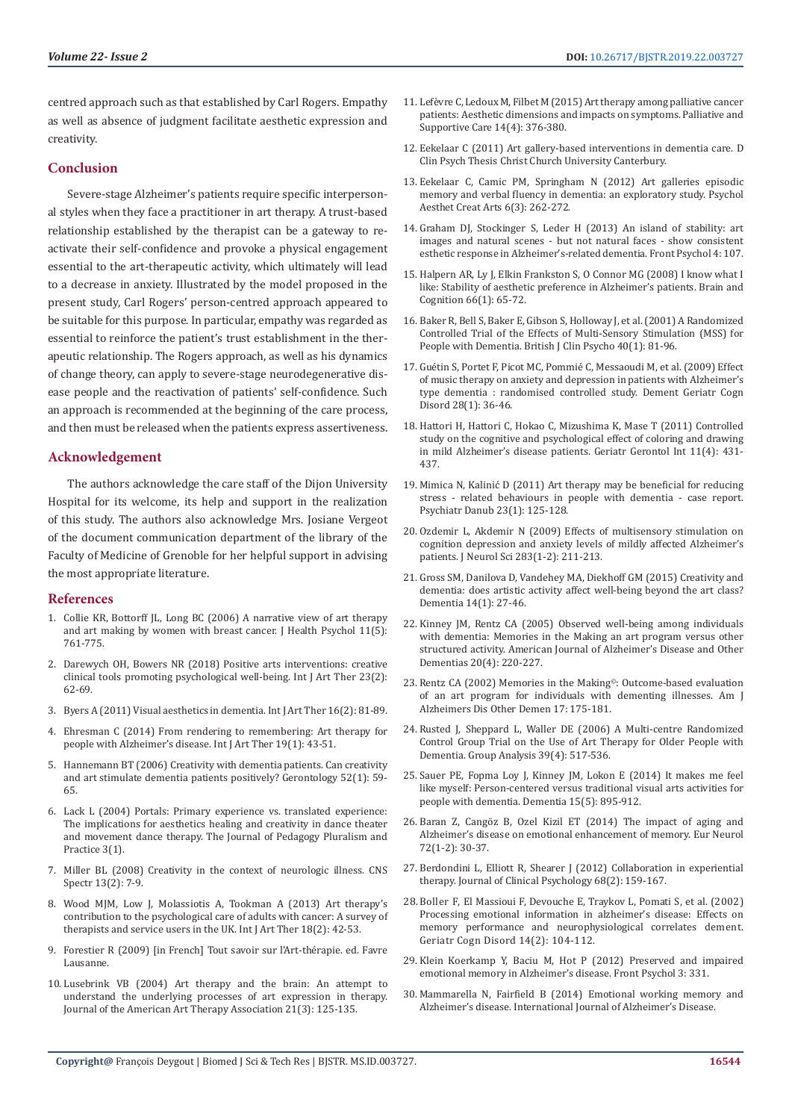centred approach such as that established by Carl Rogers. Empathy as well as absence of judgment facilitate aesthetic expression and creativity.

# **Conclusion**

Severe-stage Alzheimer's patients require specific interpersonal styles when they face a practitioner in art therapy. A trust-based relationship established by the therapist can be a gateway to reactivate their self-confidence and provoke a physical engagement essential to the art-therapeutic activity, which ultimately will lead to a decrease in anxiety. Illustrated by the model proposed in the present study, Carl Rogers' person-centred approach appeared to be suitable for this purpose. In particular, empathy was regarded as essential to reinforce the patient's trust establishment in the therapeutic relationship. The Rogers approach, as well as his dynamics of change theory, can apply to severe-stage neurodegenerative disease people and the reactivation of patients' self-confidence. Such an approach is recommended at the beginning of the care process, and then must be released when the patients express assertiveness.

# **Acknowledgement**

The authors acknowledge the care staff of the Dijon University Hospital for its welcome, its help and support in the realization of this study. The authors also acknowledge Mrs. Josiane Vergeot of the document communication department of the library of the Faculty of Medicine of Grenoble for her helpful support in advising the most appropriate literature.

#### **References**

- 1. [Collie KR, Bottorff JL, Long BC \(2006\) A narrative view of art therapy](https://www.ncbi.nlm.nih.gov/pubmed/16908471)  [and art making by women with breast cancer. J Health Psychol 11\(5\):](https://www.ncbi.nlm.nih.gov/pubmed/16908471)  [761-775.](https://www.ncbi.nlm.nih.gov/pubmed/16908471)
- 2. [Darewych OH, Bowers NR \(2018\) Positive arts interventions: creative](https://www.tandfonline.com/doi/abs/10.1080/17454832.2017.1378241)  [clinical tools promoting psychological well-being. Int J Art Ther 23\(2\):](https://www.tandfonline.com/doi/abs/10.1080/17454832.2017.1378241)  [62-69.](https://www.tandfonline.com/doi/abs/10.1080/17454832.2017.1378241)
- 3. [Byers A \(2011\) Visual aesthetics in dementia. Int J Art Ther 16\(2\): 81-89.](https://www.tandfonline.com/doi/abs/10.1080/17454832.2011.602980)
- 4. [Ehresman C \(2014\) From rendering to remembering: Art therapy for](https://www.tandfonline.com/doi/abs/10.1080/17454832.2013.819023)  [people with Alzheimer's disease. Int J Art Ther 19\(1\): 43-51.](https://www.tandfonline.com/doi/abs/10.1080/17454832.2013.819023)
- 5. [Hannemann BT \(2006\) Creativity with dementia patients. Can creativity](https://www.ncbi.nlm.nih.gov/pubmed/16439826)  [and art stimulate dementia patients positively? Gerontology 52\(1\): 59-](https://www.ncbi.nlm.nih.gov/pubmed/16439826) [65.](https://www.ncbi.nlm.nih.gov/pubmed/16439826)
- 6. [Lack L \(2004\) Portals: Primary experience vs. translated experience:](https://digitalcommons.lesley.edu/cgi/viewcontent.cgi?article=1226&context=jppp)  [The implications for aesthetics healing and creativity in dance theater](https://digitalcommons.lesley.edu/cgi/viewcontent.cgi?article=1226&context=jppp)  [and movement dance therapy. The Journal of Pedagogy Pluralism and](https://digitalcommons.lesley.edu/cgi/viewcontent.cgi?article=1226&context=jppp)  [Practice 3\(1\).](https://digitalcommons.lesley.edu/cgi/viewcontent.cgi?article=1226&context=jppp)
- 7. [Miller BL \(2008\) Creativity in the context of neurologic illness. CNS](https://www.cambridge.org/core/journals/cns-spectrums/article/creativity-in-the-context-of-neurologic-illness/546050B286C6A394EE04916E1BC2B380)  [Spectr 13\(2\): 7-9.](https://www.cambridge.org/core/journals/cns-spectrums/article/creativity-in-the-context-of-neurologic-illness/546050B286C6A394EE04916E1BC2B380)
- 8. [Wood MJM, Low J, Molassiotis A, Tookman A \(2013\) Art therapy's](https://www.researchgate.net/publication/257416287_Art_therapy)  [contribution to the psychological care of adults with cancer: A survey of](https://www.researchgate.net/publication/257416287_Art_therapy)  [therapists and service users in the UK. Int J Art Ther 18\(2\): 42-53.](https://www.researchgate.net/publication/257416287_Art_therapy)
- 9. Forestier R (2009) [in French] Tout savoir sur l'Art-thérapie. ed. Favre Lausanne.
- 10. [Lusebrink VB \(2004\) Art therapy and the brain: An attempt to](https://files.eric.ed.gov/fulltext/EJ682596.pdf)  [understand the underlying processes of art expression in therapy.](https://files.eric.ed.gov/fulltext/EJ682596.pdf)  [Journal of the American Art Therapy Association 21\(3\): 125-135.](https://files.eric.ed.gov/fulltext/EJ682596.pdf)
- 11. Lefè[vre C, Ledoux M, Filbet M \(2015\) Art therapy among palliative cancer](https://www.ncbi.nlm.nih.gov/pubmed/26584521) [patients: Aesthetic dimensions and impacts on symptoms. Palliative and](https://www.ncbi.nlm.nih.gov/pubmed/26584521) [Supportive Care 14\(4\): 376-380.](https://www.ncbi.nlm.nih.gov/pubmed/26584521)
- 12. [Eekelaar C \(2011\) Art gallery-based interventions in dementia care. D](http://create.canterbury.ac.uk/10460/) [Clin Psych Thesis Christ Church University Canterbury.](http://create.canterbury.ac.uk/10460/)
- 13. [Eekelaar C, Camic PM, Springham N \(2012\) Art galleries episodic](https://www.researchgate.net/publication/254735585_Art_Galleries_Episodic_Memory_and_Verbal_Fluency_in_Dementia_An_Exploratory_Study) [memory and verbal fluency in dementia: an exploratory study. Psychol](https://www.researchgate.net/publication/254735585_Art_Galleries_Episodic_Memory_and_Verbal_Fluency_in_Dementia_An_Exploratory_Study) [Aesthet Creat Arts 6\(3\): 262-272.](https://www.researchgate.net/publication/254735585_Art_Galleries_Episodic_Memory_and_Verbal_Fluency_in_Dementia_An_Exploratory_Study)
- 14. [Graham DJ, Stockinger S, Leder H \(2013\) An island of stability: art](https://www.ncbi.nlm.nih.gov/pubmed/23471005) [images and natural scenes - but not natural faces - show consistent](https://www.ncbi.nlm.nih.gov/pubmed/23471005) [esthetic response in Alzheimer's-related dementia. Front Psychol 4: 107.](https://www.ncbi.nlm.nih.gov/pubmed/23471005)
- 15. [Halpern AR, Ly J, Elkin Frankston S, O Connor MG \(2008\) I know what I](https://www.ncbi.nlm.nih.gov/pubmed/17606318) [like: Stability of aesthetic preference in Alzheimer's patients. Brain and](https://www.ncbi.nlm.nih.gov/pubmed/17606318) [Cognition 66\(1\): 65-72.](https://www.ncbi.nlm.nih.gov/pubmed/17606318)
- 16. [Baker R, Bell S, Baker E, Gibson S, Holloway J, et al. \(2001\) A Randomized](https://www.ncbi.nlm.nih.gov/pubmed/11317951) [Controlled Trial of the Effects of Multi-Sensory Stimulation \(MSS\) for](https://www.ncbi.nlm.nih.gov/pubmed/11317951) [People with Dementia. British J Clin Psycho 40\(1\): 81-96.](https://www.ncbi.nlm.nih.gov/pubmed/11317951)
- 17. [Guétin S, Portet F, Picot MC, Pommié C, Messaoudi M, et al. \(2009\) Effect](https://www.ncbi.nlm.nih.gov/pubmed/19628939) [of music therapy on anxiety and depression in patients with Alzheimer's](https://www.ncbi.nlm.nih.gov/pubmed/19628939) [type dementia : randomised controlled study. Dement Geriatr Cogn](https://www.ncbi.nlm.nih.gov/pubmed/19628939) [Disord 28\(1\): 36-46.](https://www.ncbi.nlm.nih.gov/pubmed/19628939)
- 18. [Hattori H, Hattori C, Hokao C, Mizushima K, Mase T \(2011\) Controlled](https://www.ncbi.nlm.nih.gov/pubmed/21518170) [study on the cognitive and psychological effect of coloring and drawing](https://www.ncbi.nlm.nih.gov/pubmed/21518170) [in mild Alzheimer's disease patients. Geriatr Gerontol Int 11\(4\): 431-](https://www.ncbi.nlm.nih.gov/pubmed/21518170) [437.](https://www.ncbi.nlm.nih.gov/pubmed/21518170)
- 19. Mimica N, Kalinić [D \(2011\) Art therapy may be beneficial for reducing](https://www.ncbi.nlm.nih.gov/pubmed/21448117) [stress - related behaviours in people with dementia - case report.](https://www.ncbi.nlm.nih.gov/pubmed/21448117) [Psychiatr Danub 23\(1\): 125-128.](https://www.ncbi.nlm.nih.gov/pubmed/21448117)
- 20. Ozdemir L, Akdemir N (2009) Effects of multisensory stimulation on cognition depression and anxiety levels of mildly affected Alzheimer's patients. [J Neurol Sci](http://www.ncbi.nlm.nih.gov/pubmed/19289242) 283(1-2): 211-213.
- 21. [Gross SM, Danilova D, Vandehey MA, Diekhoff GM \(2015\) Creativity and](https://www.ncbi.nlm.nih.gov/pubmed/24339088) [dementia: does artistic activity affect well-being beyond the art class?](https://www.ncbi.nlm.nih.gov/pubmed/24339088) [Dementia 14\(1\): 27-46.](https://www.ncbi.nlm.nih.gov/pubmed/24339088)
- 22. [Kinney JM, Rentz CA \(2005\) Observed well-being among individuals](https://www.ncbi.nlm.nih.gov/pubmed/16136845) [with dementia: Memories in the Making an art program versus other](https://www.ncbi.nlm.nih.gov/pubmed/16136845) [structured activity. American Journal of Alzheimer's Disease and Other](https://www.ncbi.nlm.nih.gov/pubmed/16136845) [Dementias 20\(4\): 220-227.](https://www.ncbi.nlm.nih.gov/pubmed/16136845)
- 23. [Rentz CA \(2002\) Memories in the Making©](https://www.ncbi.nlm.nih.gov/pubmed/12083348): Outcome-based evaluation [of an art program for individuals with dementing illnesses. Am J](https://www.ncbi.nlm.nih.gov/pubmed/12083348) [Alzheimers Dis Other Demen](https://www.ncbi.nlm.nih.gov/pubmed/12083348) 17: 175-181.
- 24. [Rusted J, Sheppard L, Waller DE \(2006\) A Multi-centre Randomized](https://journals.sagepub.com/doi/abs/10.1177/0533316406071447) [Control Group Trial on the Use of Art Therapy for Older People with](https://journals.sagepub.com/doi/abs/10.1177/0533316406071447) [Dementia. Group Analysis 39\(4\): 517-536.](https://journals.sagepub.com/doi/abs/10.1177/0533316406071447)
- 25. [Sauer PE, Fopma Loy J, Kinney JM, Lokon E \(2014\) It makes me feel](https://www.ncbi.nlm.nih.gov/pubmed/25049353) [like myself: Person-centered versus traditional visual arts activities for](https://www.ncbi.nlm.nih.gov/pubmed/25049353) [people with dementia. Dementia 15\(5\): 895-912.](https://www.ncbi.nlm.nih.gov/pubmed/25049353)
- 26. [Baran Z, Cangöz B, Ozel Kizil ET \(2014\) The impact of aging and](https://www.ncbi.nlm.nih.gov/pubmed/24853408) [Alzheimer's disease on emotional enhancement of memory. Eur Neurol](https://www.ncbi.nlm.nih.gov/pubmed/24853408) [72\(1-2\): 30-37.](https://www.ncbi.nlm.nih.gov/pubmed/24853408)
- 27. [Berdondini L, Elliott R, Shearer J \(2012\) Collaboration in experiential](https://pureportal.strath.ac.uk/en/publications/collaboration-in-experiential-therapy) [therapy. Journal of Clinical Psychology 68\(2\): 159-167.](https://pureportal.strath.ac.uk/en/publications/collaboration-in-experiential-therapy)
- 28.[Boller F, El Massioui F, Devouche E, Traykov L, Pomati S, et al. \(2002\)](https://www.ncbi.nlm.nih.gov/pubmed/12145458) [Processing emotional information in alzheimer's disease: Effects on](https://www.ncbi.nlm.nih.gov/pubmed/12145458) [memory performance and neurophysiological correlates dement.](https://www.ncbi.nlm.nih.gov/pubmed/12145458) [Geriatr Cogn Disord 14\(2\): 104-112.](https://www.ncbi.nlm.nih.gov/pubmed/12145458)
- 29. [Klein Koerkamp Y, Baciu M, Hot P \(2012\) Preserved and impaired](https://www.ncbi.nlm.nih.gov/pubmed/23049516) [emotional memory in Alzheimer's disease. Front Psychol 3: 331.](https://www.ncbi.nlm.nih.gov/pubmed/23049516)
- 30. [Mammarella N, Fairfield B \(2014\) Emotional working memory and](https://www.hindawi.com/journals/ijad/2014/207698/) [Alzheimer's disease. International Journal of Alzheimer's Disease.](https://www.hindawi.com/journals/ijad/2014/207698/)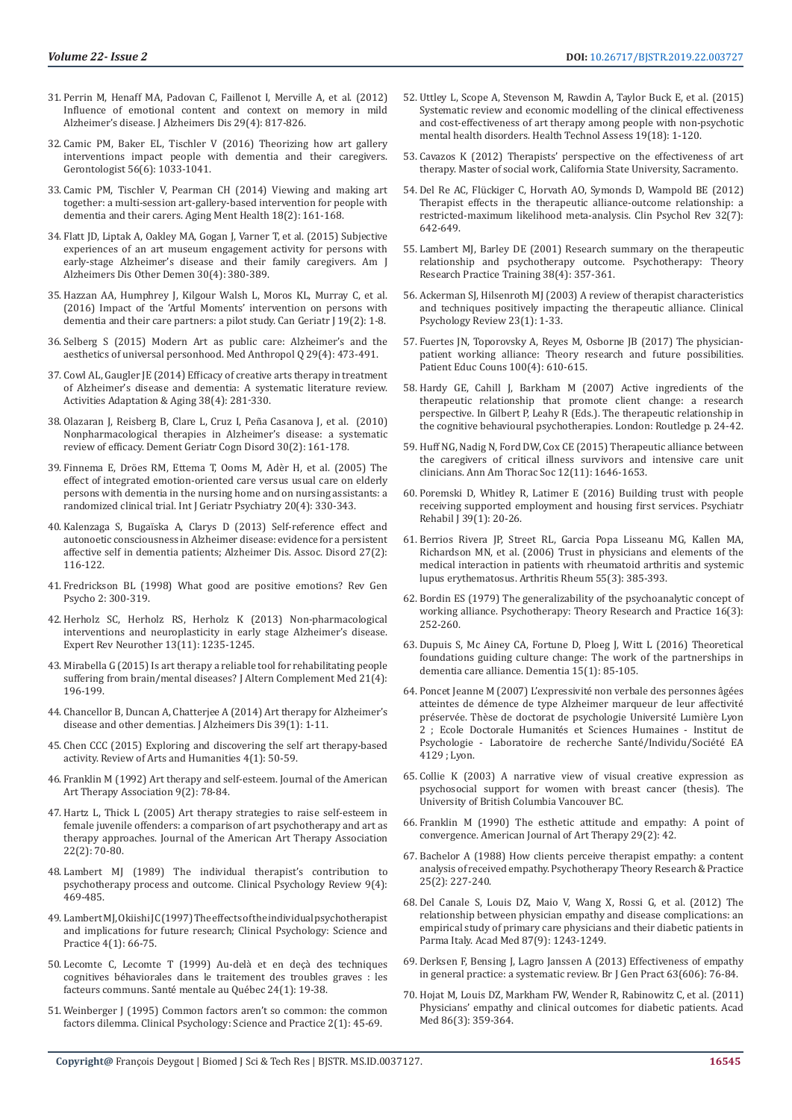- 31. [Perrin M, Henaff MA, Padovan C, Faillenot I, Merville A, et al. \(2012\)](https://www.ncbi.nlm.nih.gov/pubmed/22349683)  [Influence of emotional content and context on memory in mild](https://www.ncbi.nlm.nih.gov/pubmed/22349683)  [Alzheimer's disease. J Alzheimers Dis 29\(4\): 817-826.](https://www.ncbi.nlm.nih.gov/pubmed/22349683)
- 32. [Camic PM, Baker EL, Tischler V \(2016\) Theorizing how art gallery](https://www.ncbi.nlm.nih.gov/pubmed/26185152)  [interventions impact people with dementia and their caregivers.](https://www.ncbi.nlm.nih.gov/pubmed/26185152)  [Gerontologist 56\(6\): 1033-1041.](https://www.ncbi.nlm.nih.gov/pubmed/26185152)
- 33. [Camic PM, Tischler V, Pearman CH](https://www.ncbi.nlm.nih.gov/pubmed/23869748) (2014) Viewing and making art [together: a multi-session art-gallery-based intervention for people with](https://www.ncbi.nlm.nih.gov/pubmed/23869748)  [dementia and their carers. Aging Ment Health 18\(2\): 161-168.](https://www.ncbi.nlm.nih.gov/pubmed/23869748)
- 34. [Flatt JD, Liptak A, Oakley MA, Gogan J, Varner T, et al. \(2015\) Subjective](https://www.ncbi.nlm.nih.gov/pmc/articles/PMC4362745/)  [experiences of an art museum engagement activity for persons with](https://www.ncbi.nlm.nih.gov/pmc/articles/PMC4362745/)  [early-stage Alzheimer's disease and their family caregivers. Am J](https://www.ncbi.nlm.nih.gov/pmc/articles/PMC4362745/)  [Alzheimers Dis Other Demen 30\(4\): 380-389.](https://www.ncbi.nlm.nih.gov/pmc/articles/PMC4362745/)
- 35. [Hazzan AA, Humphrey J, Kilgour Walsh L, Moros KL, Murray C, et al.](https://www.ncbi.nlm.nih.gov/pubmed/27403209)  [\(2016\) Impact of the 'Artful Moments' intervention on persons with](https://www.ncbi.nlm.nih.gov/pubmed/27403209)  [dementia and their care partners: a pilot study. Can Geriatr J 19\(2\): 1-8.](https://www.ncbi.nlm.nih.gov/pubmed/27403209)
- 36. [Selberg S \(2015\) Modern Art as public care: Alzheimer's and the](https://www.ncbi.nlm.nih.gov/pubmed/25727196)  [aesthetics of universal personhood. Med Anthropol Q 29\(4\): 473-491.](https://www.ncbi.nlm.nih.gov/pubmed/25727196)
- 37. Cowl AL, Gaugler JE ([2014\) Efficacy of creative arts therapy in treatment](https://www.researchgate.net/publication/280170366_Efficacy_of_Creative_Arts_Therapy_in_Treatment_of_Alzheimer)  [of Alzheimer's disease and dementia: A systematic literature review.](https://www.researchgate.net/publication/280170366_Efficacy_of_Creative_Arts_Therapy_in_Treatment_of_Alzheimer)  [Activities Adaptation & Aging](https://www.researchgate.net/publication/280170366_Efficacy_of_Creative_Arts_Therapy_in_Treatment_of_Alzheimer) 38(4): 281-330.
- 38. [Olazaran J, Reisberg B, Clare L, Cruz I, Pe](https://www.ncbi.nlm.nih.gov/pubmed/20838046)ña Casanova J, et al. (2010) [Nonpharmacological therapies in Alzheimer's disease: a systematic](https://www.ncbi.nlm.nih.gov/pubmed/20838046)  [review of efficacy. Dement Geriatr Cogn Disord 30\(2\): 161-178.](https://www.ncbi.nlm.nih.gov/pubmed/20838046)
- 39. [Finnema E, Dröes RM, Ettema T, Ooms M, Adè](https://www.ncbi.nlm.nih.gov/pubmed/15799079)r H, et al. (2005) The [effect of integrated emotion-oriented care versus usual care on elderly](https://www.ncbi.nlm.nih.gov/pubmed/15799079)  [persons with dementia in the nursing home and on nursing assistants: a](https://www.ncbi.nlm.nih.gov/pubmed/15799079)  [randomized clinical trial. Int J Geriatr Psychiatry 20\(4\): 330-343.](https://www.ncbi.nlm.nih.gov/pubmed/15799079)
- 40. Kalenzaga S, Bugaï[ska A, Clarys D \(2013\) Self-reference effect and](https://www.ncbi.nlm.nih.gov/pubmed/22596082)  [autonoetic consciousness in Alzheimer disease: evidence for a persistent](https://www.ncbi.nlm.nih.gov/pubmed/22596082)  [affective self in dementia patients; Alzheimer Dis. Assoc. Disord 27\(2\):](https://www.ncbi.nlm.nih.gov/pubmed/22596082)  [116-122.](https://www.ncbi.nlm.nih.gov/pubmed/22596082)
- 41. [Fredrickson BL \(1998\) What good are positive emotions? Rev Gen](https://www.ncbi.nlm.nih.gov/pmc/articles/PMC3156001/)  [Psycho 2: 300-319.](https://www.ncbi.nlm.nih.gov/pmc/articles/PMC3156001/)
- 42. [Herholz SC, Herholz RS, Herholz K \(2013\) Non-pharmacological](https://www.ncbi.nlm.nih.gov/pubmed/24134650)  [interventions and neuroplasticity in early stage Alzheimer's disease.](https://www.ncbi.nlm.nih.gov/pubmed/24134650)  [Expert Rev Neurother 13\(11\): 1235-1245.](https://www.ncbi.nlm.nih.gov/pubmed/24134650)
- 43. [Mirabella G \(2015\) Is art therapy a reliable tool for rehabilitating people](https://www.ncbi.nlm.nih.gov/pubmed/25848886)  suffering from brain/mental diseases? J Altern Complement Med 21(4): [196-199.](https://www.ncbi.nlm.nih.gov/pubmed/25848886)
- 44. [Chancellor B, Duncan A, Chatterjee A \(2014\) Art therapy for Alzheimer's](https://www.ncbi.nlm.nih.gov/pubmed/24121964)  [disease and other dementias. J Alzheimers Dis 39\(1\): 1-11.](https://www.ncbi.nlm.nih.gov/pubmed/24121964)
- 45. [Chen CCC \(2015\) Exploring and discovering the self art therapy-based](http://rah-net.com/journals/rah/Vol_4_No_1_June_2015/7.pdf)  [activity. Review of Arts and Humanities 4\(1\): 50-59.](http://rah-net.com/journals/rah/Vol_4_No_1_June_2015/7.pdf)
- 46. [Franklin M \(1992\) Art therapy and self-esteem. Journal of the American](https://www.tandfonline.com/doi/abs/10.1080/07421656.1992.10758941)  [Art Therapy Association 9\(2\): 78-84.](https://www.tandfonline.com/doi/abs/10.1080/07421656.1992.10758941)
- 47. [Hartz L, Thick L \(2005\) Art therapy strategies to raise self-esteem in](https://www.tandfonline.com/doi/abs/10.1080/07421656.2005.10129440)  [female juvenile offenders: a comparison of art psychotherapy and art as](https://www.tandfonline.com/doi/abs/10.1080/07421656.2005.10129440)  [therapy approaches. Journal of the American Art Therapy Association](https://www.tandfonline.com/doi/abs/10.1080/07421656.2005.10129440)  [22\(2\): 70-80.](https://www.tandfonline.com/doi/abs/10.1080/07421656.2005.10129440)
- 48. [Lambert MJ \(1989\) The individual therapist's contribution to](https://www.sciencedirect.com/science/article/pii/0272735889900044)  [psychotherapy process and outcome. Clinical Psychology Review 9\(4\):](https://www.sciencedirect.com/science/article/pii/0272735889900044)  [469-485.](https://www.sciencedirect.com/science/article/pii/0272735889900044)
- 49. [Lambert MJ, Okiishi JC \(1997\) The effects of the individual psychotherapist](https://psycnet.apa.org/record/1997-07930-007)  [and implications for future research; Clinical Psychology: Science and](https://psycnet.apa.org/record/1997-07930-007)  [Practice 4\(1\): 66-75.](https://psycnet.apa.org/record/1997-07930-007)
- 50. [Lecomte C, Lecomte T \(1999\) Au-del](https://www.erudit.org/fr/revues/smq/1999-v24-n1-smq1223/031583ar/)à et en deçà des techniques [cognitives béhaviorales dans le traitement des troubles graves : les](https://www.erudit.org/fr/revues/smq/1999-v24-n1-smq1223/031583ar/)  [facteurs communs. Santé mentale au Qué](https://www.erudit.org/fr/revues/smq/1999-v24-n1-smq1223/031583ar/)bec 24(1): 19-38.
- 51. [Weinberger J \(1995\) Common factors aren't so common: the common](https://psycnet.apa.org/record/1995-30153-001)  [factors dilemma. Clinical Psychology: Science and Practice 2\(1\): 45-69.](https://psycnet.apa.org/record/1995-30153-001)
- 52. [Uttley L, Scope A, Stevenson M, Rawdin A, Taylor Buck E, et al. \(2015\)](https://www.ncbi.nlm.nih.gov/pubmed/25739466) [Systematic review and economic modelling of the clinical effectiveness](https://www.ncbi.nlm.nih.gov/pubmed/25739466) [and cost-effectiveness of art therapy among people with non-psychotic](https://www.ncbi.nlm.nih.gov/pubmed/25739466) [mental health disorders. Health Technol Assess 19\(18\): 1-120.](https://www.ncbi.nlm.nih.gov/pubmed/25739466)
- 53. [Cavazos K \(2012\) Therapists' perspective on the effectiveness of art](http://csus-dspace.calstate.edu/bitstream/handle/10211.9/1592/2THERAPISTS%20PERSPECTIVE-ART%20THERAPY.pdf?sequence=1) [therapy. Master of social work, California State University, Sacramento.](http://csus-dspace.calstate.edu/bitstream/handle/10211.9/1592/2THERAPISTS%20PERSPECTIVE-ART%20THERAPY.pdf?sequence=1)
- 54. Del Re AC, Flü[ckiger C, Horvath AO, Symonds D, Wampold BE \(2012\)](https://www.ncbi.nlm.nih.gov/pubmed/22922705) [Therapist effects in the therapeutic alliance-outcome relationship: a](https://www.ncbi.nlm.nih.gov/pubmed/22922705) [restricted-maximum likelihood meta-analysis. Clin Psychol Rev 32\(7\):](https://www.ncbi.nlm.nih.gov/pubmed/22922705) [642-649.](https://www.ncbi.nlm.nih.gov/pubmed/22922705)
- 55. [Lambert MJ, Barley DE \(2001\) Research summary on the therapeutic](https://www.researchgate.net/publication/232477357_Research_Summary_of_the_Therapeutic_Relationship_and_Psychotherapy_Outcome) [relationship and psychotherapy outcome. Psychotherapy: Theory](https://www.researchgate.net/publication/232477357_Research_Summary_of_the_Therapeutic_Relationship_and_Psychotherapy_Outcome) [Research Practice Training 38\(4\): 357-361.](https://www.researchgate.net/publication/232477357_Research_Summary_of_the_Therapeutic_Relationship_and_Psychotherapy_Outcome)
- 56. [Ackerman SJ, Hilsenroth MJ \(2003\) A review of therapist characteristics](https://www.ncbi.nlm.nih.gov/pubmed/12559992) [and techniques positively impacting the therapeutic alliance. Clinical](https://www.ncbi.nlm.nih.gov/pubmed/12559992) [Psychology Review 23\(1\): 1-33.](https://www.ncbi.nlm.nih.gov/pubmed/12559992)
- 57. [Fuertes JN, Toporovsky A, Reyes M, Osborne JB \(2017\) The physician](https://www.ncbi.nlm.nih.gov/pubmed/27773600)[patient working alliance: Theory research and future possibilities.](https://www.ncbi.nlm.nih.gov/pubmed/27773600) [Patient Educ Couns 100\(4\): 610-615.](https://www.ncbi.nlm.nih.gov/pubmed/27773600)
- 58. [Hardy GE, Cahill J, Barkham M \(2007\) Active ingredients of the](https://psycnet.apa.org/record/2007-01083-002) [therapeutic relationship that promote client change: a research](https://psycnet.apa.org/record/2007-01083-002) [perspective. In Gilbert P, Leahy R \(Eds.\). The therapeutic relationship in](https://psycnet.apa.org/record/2007-01083-002) [the cognitive behavioural psychotherapies. London: Routledge p. 24-42.](https://psycnet.apa.org/record/2007-01083-002)
- 59. [Huff NG, Nadig N, Ford DW, Cox CE \(2015\) Therapeutic alliance between](https://www.ncbi.nlm.nih.gov/pubmed/26452172) [the caregivers of critical illness survivors and intensive care unit](https://www.ncbi.nlm.nih.gov/pubmed/26452172) [clinicians. Ann Am Thorac Soc 12\(11\): 1646-1653.](https://www.ncbi.nlm.nih.gov/pubmed/26452172)
- 60. [Poremski D, Whitley R, Latimer E \(2016\) Building trust with people](https://www.ncbi.nlm.nih.gov/pubmed/25821980) [receiving supported employment and housing first services. Psychiatr](https://www.ncbi.nlm.nih.gov/pubmed/25821980) [Rehabil J 39\(1\): 20-26.](https://www.ncbi.nlm.nih.gov/pubmed/25821980)
- 61. [Berrios Rivera JP, Street RL, Garcia Popa Lisseanu MG, Kallen MA,](https://www.ncbi.nlm.nih.gov/pubmed/16739207) [Richardson MN, et al. \(2006\) Trust in physicians and elements of the](https://www.ncbi.nlm.nih.gov/pubmed/16739207) [medical interaction in patients with rheumatoid arthritis and systemic](https://www.ncbi.nlm.nih.gov/pubmed/16739207) lupus erythematosus. [Arthritis Rheum 55\(3\): 385-393.](https://www.ncbi.nlm.nih.gov/pubmed/16739207)
- 62. [Bordin ES \(1979\) The generalizability of the psychoanalytic concept of](https://psycnet.apa.org/record/1980-23666-001) [working alliance. Psychotherapy: Theory Research and Practice 16\(3\):](https://psycnet.apa.org/record/1980-23666-001) [252-260.](https://psycnet.apa.org/record/1980-23666-001)
- 63. [Dupuis S, Mc Ainey CA, Fortune D, Ploeg J, Witt L \(2016\) Theoretical](https://www.ncbi.nlm.nih.gov/pubmed/24419355) [foundations guiding culture change: The work of the partnerships in](https://www.ncbi.nlm.nih.gov/pubmed/24419355) [dementia care alliance. Dementia 15\(1\): 85-105.](https://www.ncbi.nlm.nih.gov/pubmed/24419355)
- 64. Poncet Jeanne M (2007) L'expressivité non verbale des personnes âgées atteintes de démence de type Alzheimer marqueur de leur affectivité préservée. Thèse de doctorat de psychologie Université Lumière Lyon 2 ; Ecole Doctorale Humanités et Sciences Humaines - Institut de Psychologie - Laboratoire de recherche Santé/Individu/Société EA 4129 ; Lyon.
- 65. [Collie K \(2003\) A narrative view of visual creative expression as](https://open.library.ubc.ca/cIRcle/collections/ubctheses/831/items/1.0076850) [psychosocial support for women with breast cancer \(thesis\). The](https://open.library.ubc.ca/cIRcle/collections/ubctheses/831/items/1.0076850) [University of British Columbia Vancouver BC.](https://open.library.ubc.ca/cIRcle/collections/ubctheses/831/items/1.0076850)
- 66. Franklin M (1990) The esthetic attitude and empathy: A point of convergence. American Journal of Art Therapy 29(2): 42.
- 67. [Bachelor A \(1988\) How clients perceive therapist empathy: a content](https://psycnet.apa.org/record/1989-02244-001) [analysis of received empathy. Psychotherapy Theory Research & Practice](https://psycnet.apa.org/record/1989-02244-001) [25\(2\): 227-240.](https://psycnet.apa.org/record/1989-02244-001)
- 68. [Del Canale S, Louis DZ, Maio V, Wang X, Rossi G, et al. \(2012\) The](https://www.ncbi.nlm.nih.gov/pubmed/22836852) [relationship between physician empathy and disease complications: an](https://www.ncbi.nlm.nih.gov/pubmed/22836852) [empirical study of primary care physicians and their diabetic patients in](https://www.ncbi.nlm.nih.gov/pubmed/22836852) [Parma Italy. Acad Med](https://www.ncbi.nlm.nih.gov/pubmed/22836852) 87(9): 1243-1249.
- 69. [Derksen F, Bensing J, Lagro Janssen A \(2013\) Effectiveness of empathy](https://www.ncbi.nlm.nih.gov/pubmed/23336477) [in general practice: a systematic review. Br J Gen Pract 63\(606\): 76-84.](https://www.ncbi.nlm.nih.gov/pubmed/23336477)
- 70. [Hojat M, Louis DZ, Markham FW, Wender R, Rabinowitz C, et al. \(2011\)](https://www.ncbi.nlm.nih.gov/pubmed/21248604) [Physicians' empathy and clinical outcomes for diabetic patients. Acad](https://www.ncbi.nlm.nih.gov/pubmed/21248604) [Med 86\(3\): 359-364.](https://www.ncbi.nlm.nih.gov/pubmed/21248604)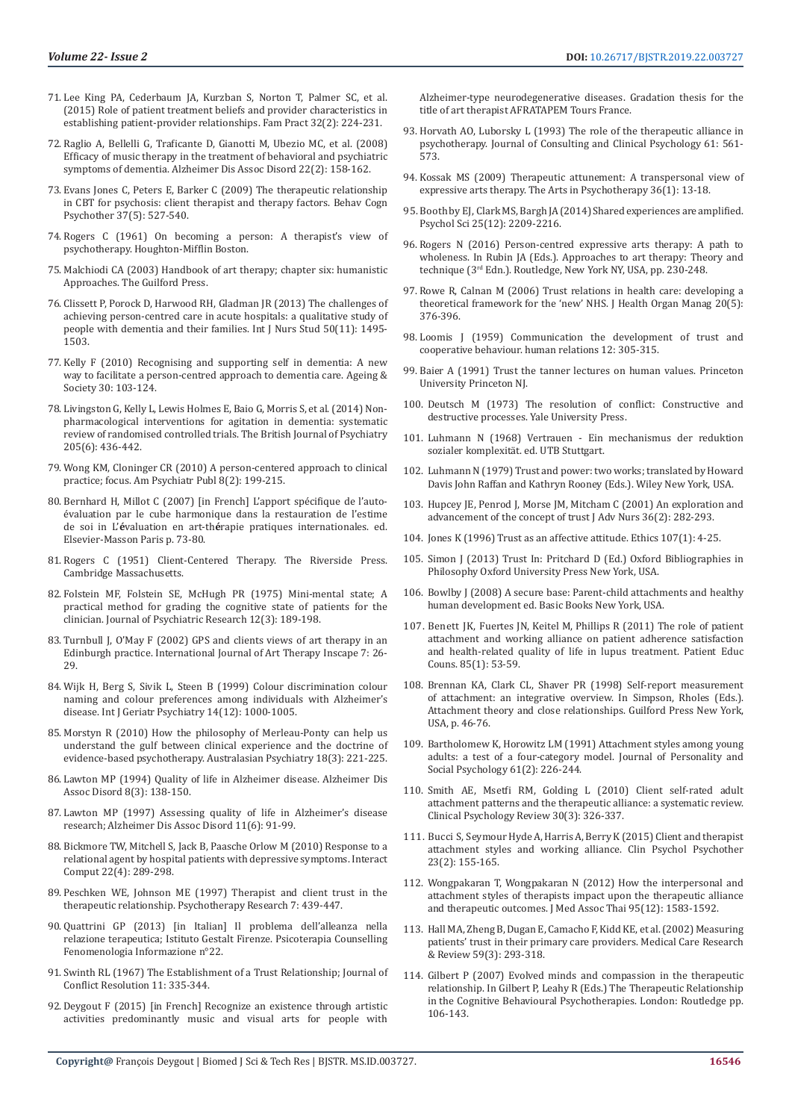- 71. [Lee King PA, Cederbaum JA, Kurzban S, Norton T, Palmer SC, et al.](https://www.ncbi.nlm.nih.gov/pubmed/25556196)  (2015) [Role of patient treatment beliefs and provider characteristics in](https://www.ncbi.nlm.nih.gov/pubmed/25556196)  [establishing patient-provider relationships. Fam Pract 32\(2\): 224-231.](https://www.ncbi.nlm.nih.gov/pubmed/25556196)
- 72. [Raglio A, Bellelli G, Traficante D, Gianotti M, Ubezio MC, et al. \(2008\)](https://www.ncbi.nlm.nih.gov/pubmed/18525288)  [Efficacy of music therapy in the treatment of behavioral and psychiatric](https://www.ncbi.nlm.nih.gov/pubmed/18525288)  [symptoms of dementia. Alzheimer Dis Assoc Disord 22\(2\): 158-162.](https://www.ncbi.nlm.nih.gov/pubmed/18525288)
- 73. [Evans Jones C, Peters E, Barker C \(2009\) The therapeutic relationship](https://www.ncbi.nlm.nih.gov/pubmed/19728901)  [in CBT for psychosis: client therapist and therapy factors. Behav Cogn](https://www.ncbi.nlm.nih.gov/pubmed/19728901)  [Psychother 37\(5\): 527-540.](https://www.ncbi.nlm.nih.gov/pubmed/19728901)
- 74. [Rogers C \(1961\) On becoming a person: A therapist's view of](https://www.scirp.org/(S(i43dyn45teexjx455qlt3d2q))/reference/ReferencesPapers.aspx?ReferenceID=2038491)  [psychotherapy. Houghton-Mifflin Boston.](https://www.scirp.org/(S(i43dyn45teexjx455qlt3d2q))/reference/ReferencesPapers.aspx?ReferenceID=2038491)
- 75. Malchiodi CA (2003) Handbook of art therapy; chapter six: humanistic Approaches. The Guilford Press.
- 76. [Clissett P, Porock D, Harwood RH, Gladman JR \(2013\) The challenges of](https://www.ncbi.nlm.nih.gov/pubmed/23548170)  [achieving person-centred care in acute hospitals: a qualitative study of](https://www.ncbi.nlm.nih.gov/pubmed/23548170)  [people with dementia and their families. Int J Nurs Stud 50\(11\): 1495-](https://www.ncbi.nlm.nih.gov/pubmed/23548170) [1503.](https://www.ncbi.nlm.nih.gov/pubmed/23548170)
- 77. [Kelly F \(2010\) Recognising and supporting self in dementia: A new](https://www.cambridge.org/core/journals/ageing-and-society/article/recognising-and-supporting-self-in-dementia-a-new-way-to-facilitate-a-personcentred-approach-to-dementia-care/9F74999F07232D1136A2823B2D3D7699)  [way to facilitate a person-centred approach to dementia care. Ageing &](https://www.cambridge.org/core/journals/ageing-and-society/article/recognising-and-supporting-self-in-dementia-a-new-way-to-facilitate-a-personcentred-approach-to-dementia-care/9F74999F07232D1136A2823B2D3D7699)  [Society 30: 103-124.](https://www.cambridge.org/core/journals/ageing-and-society/article/recognising-and-supporting-self-in-dementia-a-new-way-to-facilitate-a-personcentred-approach-to-dementia-care/9F74999F07232D1136A2823B2D3D7699)
- 78. Livingston G, [Kelly L, Lewis Holmes E, Baio G, Morris S, et al. \(2014\) Non](https://www.ncbi.nlm.nih.gov/pubmed/25452601)[pharmacological interventions for agitation in dementia: systematic](https://www.ncbi.nlm.nih.gov/pubmed/25452601)  [review of randomised controlled trials. The British Journal of Psychiatry](https://www.ncbi.nlm.nih.gov/pubmed/25452601)  [205\(6\): 436-442.](https://www.ncbi.nlm.nih.gov/pubmed/25452601)
- 79. [Wong KM, Cloninger CR \(2010\) A person-centered approach to clinical](https://www.ncbi.nlm.nih.gov/pubmed/26029006)  [practice; focus. Am Psychiatr Publ 8\(2\): 199-215.](https://www.ncbi.nlm.nih.gov/pubmed/26029006)
- 80. Bernhard H, Millot C (2007) [in French] L'apport spé[cifique de l'auto](http://www.sciencedirect.com/science/article/pii/B9782842998318500078)[évaluation par le cube harmonique dans la restauration de l'estime](http://www.sciencedirect.com/science/article/pii/B9782842998318500078)  [de soi](http://www.sciencedirect.com/science/article/pii/B9782842998318500078) in L'**é**valuation en art-th**é**rapie pratiques internationales. ed. Elsevier-Masson Paris p. 73-80.
- 81. [Rogers C \(1951\) Client-Centered Therapy. The Riverside Press.](https://onlinelibrary.wiley.com/doi/abs/10.1002/1097-4679%28195107%297%3A3%3C294%3A%3AAID-JCLP2270070325%3E3.0.CO%3B2-O)  [Cambridge Massachusetts.](https://onlinelibrary.wiley.com/doi/abs/10.1002/1097-4679%28195107%297%3A3%3C294%3A%3AAID-JCLP2270070325%3E3.0.CO%3B2-O)
- 82. Folstein MF, Folstein [SE, McHugh PR \(1975\) Mini-mental state; A](https://www.ncbi.nlm.nih.gov/pubmed/1202204)  [practical method for grading the cognitive state of patients for the](https://www.ncbi.nlm.nih.gov/pubmed/1202204)  [clinician. Journal of Psychiatric Research 12\(3\): 189-198.](https://www.ncbi.nlm.nih.gov/pubmed/1202204)
- 83. [Turnbull J, O'May F \(2002\) GPS and clients views of art therapy in an](https://www.tandfonline.com/doi/abs/10.1080/17454830208414039)  [Edinburgh practice. International Journal of Art Therapy Inscape 7: 26-](https://www.tandfonline.com/doi/abs/10.1080/17454830208414039) [29.](https://www.tandfonline.com/doi/abs/10.1080/17454830208414039)
- 84. [Wijk H, Berg S, Sivik L, Steen B \(1999\) Colour discrimination colour](https://www.ncbi.nlm.nih.gov/pubmed/10607966)  [naming and colour preferences among individuals with Alzheimer's](https://www.ncbi.nlm.nih.gov/pubmed/10607966)  [disease. Int J Geriatr Psychiatry 14\(12\): 1000-1005.](https://www.ncbi.nlm.nih.gov/pubmed/10607966)
- 85. [Morstyn R \(2010\) How the philosophy of Merleau-Ponty can help us](https://journals.sagepub.com/doi/abs/10.3109/10398561003686789?journalCode=apya)  [understand the gulf between clinical experience and the doctrine of](https://journals.sagepub.com/doi/abs/10.3109/10398561003686789?journalCode=apya)  [evidence-based psychotherapy. Australasian Psychiatry 18\(3\): 221-225.](https://journals.sagepub.com/doi/abs/10.3109/10398561003686789?journalCode=apya)
- 86. [Lawton MP \(1994\) Quality of life in Alzheimer disease. Alzheimer Dis](https://www.ncbi.nlm.nih.gov/pubmed/7999340)  Assoc Disord [8\(3\): 138-150.](https://www.ncbi.nlm.nih.gov/pubmed/7999340)
- 87. [Lawton MP \(1997\) Assessing quality of life in Alzheimer's disease](https://www.ncbi.nlm.nih.gov/pubmed/9437453)  [research; Alzheimer Dis Assoc Disord](https://www.ncbi.nlm.nih.gov/pubmed/9437453) 11(6): 91-99.
- 88. [Bickmore TW, Mitchell S, Jack B, Paasche Orlow M \(2010\) Response to a](https://www.ncbi.nlm.nih.gov/pmc/articles/PMC2901553/)  [relational agent by hospital patients with depressive symptoms.](https://www.ncbi.nlm.nih.gov/pmc/articles/PMC2901553/) Interact [Comput 22\(4\): 289-298.](https://www.ncbi.nlm.nih.gov/pmc/articles/PMC2901553/)
- 89. [Peschken WE, Johnson ME \(1997\) Therapist and client trust in the](https://www.tandfonline.com/doi/abs/10.1080/10503309712331332133)  [therapeutic relationship. Psychotherapy Research 7: 439-447.](https://www.tandfonline.com/doi/abs/10.1080/10503309712331332133)
- 90. Quattrini GP (2013) [in Italian] Il problema dell'alleanza nella relazione terapeutica; Istituto Gestalt Firenze. Psicoterapia Counselling Fenomenologia Informazione n°22.
- 91. [Swinth RL \(1967\) The Establishment of a Trust Relationship; Journal of](https://journals.sagepub.com/doi/10.1177/002200276701100308)  [Conflict Resolution 11: 335-344.](https://journals.sagepub.com/doi/10.1177/002200276701100308)
- 92. Deygout F (2015) [in French] Recognize an existence through artistic activities predominantly music and visual arts for people with

Alzheimer-type neurodegenerative diseases. Gradation thesis for the title of art therapist AFRATAPEM Tours France.

- 93. [Horvath AO, Luborsky L \(1993\) The role of the therapeutic alliance in](https://psycnet.apa.org/record/1993-46206-001) [psychotherapy. Journal of Consulting and Clinical Psychology 61: 561-](https://psycnet.apa.org/record/1993-46206-001) [573.](https://psycnet.apa.org/record/1993-46206-001)
- 94. [Kossak MS \(2009\) Therapeutic attunement: A transpersonal view of](https://www.researchgate.net/publication/238092398_Therapeutic_attunement_A_transpersonal_view_of_expressive_arts_therapy) [expressive arts therapy. The Arts in Psychotherapy 36\(1\): 13-18.](https://www.researchgate.net/publication/238092398_Therapeutic_attunement_A_transpersonal_view_of_expressive_arts_therapy)
- 95.Boothby EJ, [Clark MS, Bargh JA \(2014\) Shared experiences are amplified.](https://journals.sagepub.com/doi/abs/10.1177/0956797614551162) [Psychol Sci 25\(12\): 2209-2216.](https://journals.sagepub.com/doi/abs/10.1177/0956797614551162)
- 96. Rogers N (2016) Person-centred expressive arts therapy: A path to wholeness. In Rubin JA (Eds.). Approaches to art therapy: Theory and technique (3rd Edn.). Routledge, New York NY, USA, pp. 230-248.
- 97. [Rowe R, Calnan M \(2006\) Trust relations in health care: developing a](https://www.ncbi.nlm.nih.gov/pubmed/17087401) [theoretical framework for the 'new' NHS. J Health Organ Manag 20\(5\):](https://www.ncbi.nlm.nih.gov/pubmed/17087401) [376-396.](https://www.ncbi.nlm.nih.gov/pubmed/17087401)
- 98. [Loomis J \(1959\) Communication the development of trust and](https://psycnet.apa.org/record/1961-06363-001) [cooperative behaviour. human relations 12: 305-315.](https://psycnet.apa.org/record/1961-06363-001)
- 99. Baier A (1991) Trust the tanner lectures on human values. Princeton University Princeton NJ.
- 100. [Deutsch M \(1973\) The resolution of conflict: Constructive and](https://books.google.co.in/books/about/The_Resolution_of_Conflict.html?id=qmGEiPU-O-cC&redir_esc=y) [destructive processes.](https://books.google.co.in/books/about/The_Resolution_of_Conflict.html?id=qmGEiPU-O-cC&redir_esc=y) Yale University Press.
- 101. [Luhmann N \(1968\) Vertrauen Ein mechanismus der reduktion](http://www.irwish.de/PDF/Luhmann/Luhmann-Vertrauen_Ein_Mechanismus_der_Reduktion_sozialer_Komplexitaet.pdf) [sozialer komplexität. ed. UTB Stuttgart.](http://www.irwish.de/PDF/Luhmann/Luhmann-Vertrauen_Ein_Mechanismus_der_Reduktion_sozialer_Komplexitaet.pdf)
- 102. [Luhmann N \(1979\) Trust and power: two works; translated by Howard](https://trove.nla.gov.au/work/10212374?selectedversion=NBD1875055) [Davis John Raffan and Kathryn Rooney \(Eds.\). Wiley New York, USA.](https://trove.nla.gov.au/work/10212374?selectedversion=NBD1875055)
- 103. [Hupcey JE, Penrod J, Morse JM, Mitcham C \(2001\) An exploration and](https://www.ncbi.nlm.nih.gov/pubmed/11580804) [advancement of the concept of trust J Adv Nurs 36\(2\): 282-293.](https://www.ncbi.nlm.nih.gov/pubmed/11580804)
- 104. [Jones K \(1996\) Trust as an affective attitude. Ethics 107\(1\): 4-25.](https://www.jstor.org/stable/2382241)
- 105. [Simon J \(2013\) Trust In: Pritchard D \(Ed.\) Oxford Bibliographies in](https://global.oup.com/academic/product/oxford-bibliographies-in-philosophy-9780195396577?cc=in&lang=en&) [Philosophy Oxford University Press New York, USA.](https://global.oup.com/academic/product/oxford-bibliographies-in-philosophy-9780195396577?cc=in&lang=en&)
- 106. [Bowlby J \(2008\) A secure base: Parent-child attachments and healthy](https://pdfs.semanticscholar.org/545b/983942722792c0e0c48b699aced98323d13e.pdf) [human development ed. Basic Books New York, USA.](https://pdfs.semanticscholar.org/545b/983942722792c0e0c48b699aced98323d13e.pdf)
- 107. [Benett JK, Fuertes JN, Keitel M, Phillips R \(2011\) The role of patient](https://www.ncbi.nlm.nih.gov/pubmed/20869188) [attachment and working alliance on patient adherence satisfaction](https://www.ncbi.nlm.nih.gov/pubmed/20869188) [and health-related quality of life in lupus treatment. Patient Educ](https://www.ncbi.nlm.nih.gov/pubmed/20869188) [Couns. 85\(1\): 53-59.](https://www.ncbi.nlm.nih.gov/pubmed/20869188)
- 108. [Brennan KA, Clark CL, Shaver PR \(1998\) Self-report measurement](https://www.scirp.org/(S(i43dyn45teexjx455qlt3d2q))/reference/ReferencesPapers.aspx?ReferenceID=1341431) [of attachment: an integrative overview. In Simpson, Rholes \(Eds.\).](https://www.scirp.org/(S(i43dyn45teexjx455qlt3d2q))/reference/ReferencesPapers.aspx?ReferenceID=1341431) [Attachment theory and close relationships. Guilford Press New York,](https://www.scirp.org/(S(i43dyn45teexjx455qlt3d2q))/reference/ReferencesPapers.aspx?ReferenceID=1341431) [USA, p. 46-76.](https://www.scirp.org/(S(i43dyn45teexjx455qlt3d2q))/reference/ReferencesPapers.aspx?ReferenceID=1341431)
- 109. [Bartholomew K, Horowitz LM \(1991\) Attachment styles among young](https://psycnet.apa.org/record/1991-33075-001) [adults: a test of a four-category model. Journal of Personality and](https://psycnet.apa.org/record/1991-33075-001) [Social Psychology 61\(2\): 226-244.](https://psycnet.apa.org/record/1991-33075-001)
- 110. [Smith AE, Msetfi RM, Golding L \(2010\) Client self-rated adult](https://www.ncbi.nlm.nih.gov/pubmed/20096978) [attachment patterns and the therapeutic alliance: a systematic review.](https://www.ncbi.nlm.nih.gov/pubmed/20096978) [Clinical Psychology Review 30\(3\): 326-337.](https://www.ncbi.nlm.nih.gov/pubmed/20096978)
- 111. Bucci S, [Seymour Hyde A, Harris A, Berry K \(2015\) Client and therapist](https://www.ncbi.nlm.nih.gov/pubmed/25639686) [attachment styles and working alliance. Clin Psychol Psychother](https://www.ncbi.nlm.nih.gov/pubmed/25639686) [23\(2\): 155-165.](https://www.ncbi.nlm.nih.gov/pubmed/25639686)
- 112. [Wongpakaran T, Wongpakaran N \(2012\) How the interpersonal and](https://www.ncbi.nlm.nih.gov/pubmed/23390791) [attachment styles of therapists impact upon the therapeutic alliance](https://www.ncbi.nlm.nih.gov/pubmed/23390791) [and therapeutic outcomes. J Med Assoc Thai 95\(12\): 1583-1592.](https://www.ncbi.nlm.nih.gov/pubmed/23390791)
- 113. [Hall MA, Zheng B, Dugan E, Camacho F, Kidd KE, et al. \(2002\) Measuring](https://www.ncbi.nlm.nih.gov/pubmed/12205830) [patients' trust in their primary care providers. Medical Care Research](https://www.ncbi.nlm.nih.gov/pubmed/12205830) [& Review 59\(3\): 293-318.](https://www.ncbi.nlm.nih.gov/pubmed/12205830)
- 114. [Gilbert P \(2007\) Evolved minds and compassion in the therapeutic](https://www.taylorfrancis.com/books/e/9780203099995/chapters/10.4324/9780203099995-13) [relationship. In Gilbert P, Leahy R \(Eds.\) The Therapeutic Relationship](https://www.taylorfrancis.com/books/e/9780203099995/chapters/10.4324/9780203099995-13) [in the Cognitive Behavioural Psychotherapies. London: Routledge pp.](https://www.taylorfrancis.com/books/e/9780203099995/chapters/10.4324/9780203099995-13) [106-143.](https://www.taylorfrancis.com/books/e/9780203099995/chapters/10.4324/9780203099995-13)